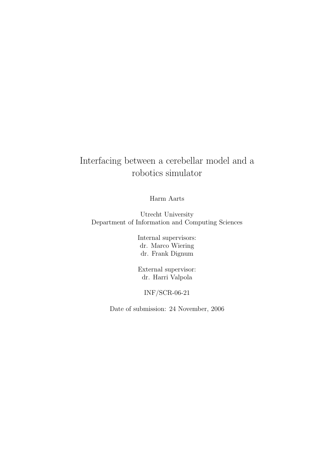## Interfacing between a cerebellar model and a robotics simulator

Harm Aarts

Utrecht University Department of Information and Computing Sciences

> Internal supervisors: dr. Marco Wiering dr. Frank Dignum

> External supervisor: dr. Harri Valpola

INF/SCR-06-21

Date of submission: 24 November, 2006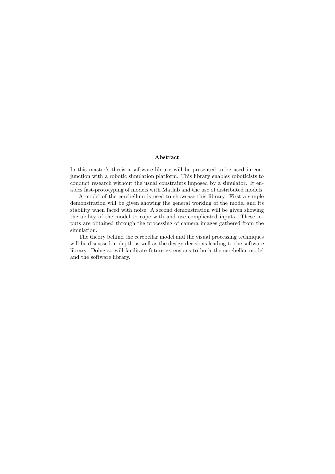#### Abstract

In this master's thesis a software library will be presented to be used in conjunction with a robotic simulation platform. This library enables roboticists to conduct research without the usual constraints imposed by a simulator. It enables fast-prototyping of models with Matlab and the use of distributed models.

A model of the cerebellum is used to showcase this library. First a simple demonstration will be given showing the general working of the model and its stability when faced with noise. A second demonstration will be given showing the ability of the model to cope with and use complicated inputs. These inputs are obtained through the processing of camera images gathered from the simulation.

The theory behind the cerebellar model and the visual processing techniques will be discussed in-depth as well as the design decisions leading to the software library. Doing so will facilitate future extensions to both the cerebellar model and the software library.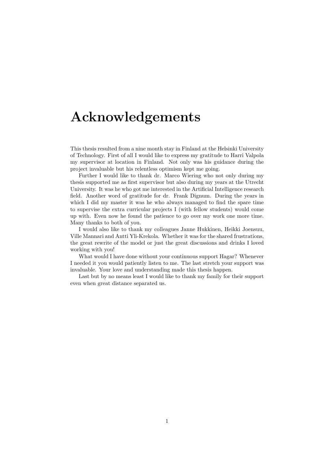## Acknowledgements

This thesis resulted from a nine month stay in Finland at the Helsinki University of Technology. First of all I would like to express my gratitude to Harri Valpola my supervisor at location in Finland. Not only was his guidance during the project invaluable but his relentless optimism kept me going.

Further I would like to thank dr. Marco Wiering who not only during my thesis supported me as first supervisor but also during my years at the Utrecht University. It was he who got me interested in the Artificial Intelligence research field. Another word of gratitude for dr. Frank Dignum. During the years in which I did my master it was he who always managed to find the spare time to supervise the extra curricular projects I (with fellow students) would come up with. Even now he found the patience to go over my work one more time. Many thanks to both of you.

I would also like to thank my colleagues Janne Hukkinen, Heikki Joensuu, Ville Mannari and Antti Yli-Krekola. Whether it was for the shared frustrations, the great rewrite of the model or just the great discussions and drinks I loved working with you!

What would I have done without your continuous support Hagar? Whenever I needed it you would patiently listen to me. The last stretch your support was invaluable. Your love and understanding made this thesis happen.

Last but by no means least I would like to thank my family for their support even when great distance separated us.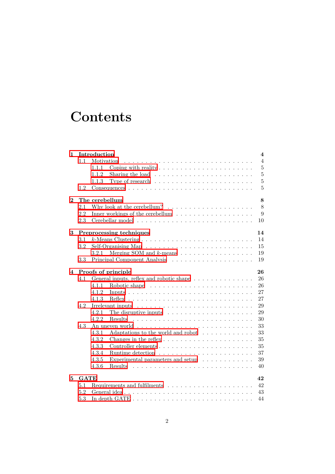# **Contents**

| 1        |             | Introduction<br>4                                                                                   |
|----------|-------------|-----------------------------------------------------------------------------------------------------|
|          | 1.1         | Motivation<br>$\overline{4}$                                                                        |
|          |             | $\overline{5}$<br>Coping with reality $\dots \dots \dots \dots \dots \dots \dots \dots$<br>1.1.1    |
|          |             | $\overline{5}$<br>1.1.2<br>Sharing the load $\ldots \ldots \ldots \ldots \ldots \ldots \ldots$      |
|          |             | $\overline{5}$<br>Type of research $\dots \dots \dots \dots \dots \dots \dots \dots \dots$<br>1.1.3 |
|          | 1.2         | $\overline{5}$                                                                                      |
| $\bf{2}$ |             | The cerebellum<br>8                                                                                 |
|          | 2.1         | Why look at the cerebellum? $\ldots \ldots \ldots \ldots \ldots \ldots$<br>8                        |
|          | 2.2         | Inner workings of the cerebellum $\dots \dots \dots \dots \dots \dots$<br>9                         |
|          | 2.3         | 10                                                                                                  |
| 3        |             | Preprocessing techniques<br>14                                                                      |
|          | 3.1         | 14                                                                                                  |
|          | 3.2         | 15                                                                                                  |
|          |             | 19<br>3.2.1                                                                                         |
|          | 3.3         | 19                                                                                                  |
| 4        |             | Proofs of principle<br>26                                                                           |
|          | 4.1         | 26<br>General inputs, reflex and robotic shape                                                      |
|          |             | 26<br>4.1.1                                                                                         |
|          |             | 27<br>4.1.2                                                                                         |
|          |             | 27<br>4.1.3                                                                                         |
|          | 4.2         | 29<br>Irrelevant inputs $\dots \dots \dots \dots \dots \dots \dots \dots \dots \dots \dots$         |
|          |             | 29<br>4.2.1<br>The disruptive inputs $\dots \dots \dots \dots \dots \dots \dots$                    |
|          |             | 4.2.2<br><b>Results</b><br>30                                                                       |
|          | 4.3         | 33                                                                                                  |
|          |             | 4.3.1<br>Adaptations to the world and robot $\ldots \ldots \ldots \ldots$<br>33                     |
|          |             | 4.3.2<br>Changes in the reflex $\dots \dots \dots \dots \dots \dots \dots \dots$<br>35              |
|          |             | 35<br>4.3.3                                                                                         |
|          |             | 37<br>4.3.4                                                                                         |
|          |             | Experimental parameters and setup $\ldots \ldots \ldots$<br>39<br>4.3.5                             |
|          |             | 40<br>4.3.6<br><b>Results</b>                                                                       |
|          |             |                                                                                                     |
| 5        | <b>GATE</b> | 42                                                                                                  |
|          | 5.1         | Requirements and fulfilments $\dots \dots \dots \dots \dots \dots \dots \dots$<br>42                |
|          | 5.2         | 43                                                                                                  |
|          | 5.3         | 44                                                                                                  |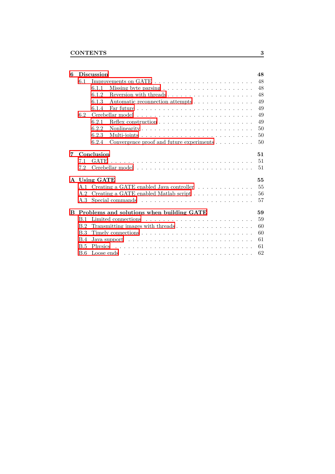| 6 |            | <b>Discussion</b><br>48                                                                    |  |  |  |  |  |
|---|------------|--------------------------------------------------------------------------------------------|--|--|--|--|--|
|   | 6.1        | 48                                                                                         |  |  |  |  |  |
|   |            | 48<br>6.1.1<br>Missing byte parsing $\dots \dots \dots \dots \dots \dots \dots$            |  |  |  |  |  |
|   |            | 48<br>Reversion with threads<br>6.1.2                                                      |  |  |  |  |  |
|   |            | 49<br>6.1.3<br>Automatic reconnection attempts                                             |  |  |  |  |  |
|   |            | 49<br>6.1.4                                                                                |  |  |  |  |  |
|   | 6.2        | 49                                                                                         |  |  |  |  |  |
|   |            | 49<br>6.2.1<br>Reflex construction $\ldots \ldots \ldots \ldots \ldots \ldots \ldots$      |  |  |  |  |  |
|   |            | 6.2.2<br>50<br>Nonlinearity                                                                |  |  |  |  |  |
|   |            | 50<br>6.2.3                                                                                |  |  |  |  |  |
|   |            | 6.2.4<br>Convergence proof and future experiments<br>50                                    |  |  |  |  |  |
| 7 |            | Conclusion<br>51                                                                           |  |  |  |  |  |
|   | 7.1        | 51                                                                                         |  |  |  |  |  |
|   | 7.2        | 51                                                                                         |  |  |  |  |  |
|   |            | 55<br>A Using GATE                                                                         |  |  |  |  |  |
|   | A.1        | 55<br>Creating a GATE enabled Java controller                                              |  |  |  |  |  |
|   | A.2        | Creating a GATE enabled Matlab script<br>56                                                |  |  |  |  |  |
|   | A.3        | 57<br>Special commands $\ldots \ldots \ldots \ldots \ldots \ldots \ldots \ldots \ldots$    |  |  |  |  |  |
| B |            | 59<br>Problems and solutions when building GATE                                            |  |  |  |  |  |
|   | B.1        | 59                                                                                         |  |  |  |  |  |
|   | B.2        | 60                                                                                         |  |  |  |  |  |
|   | B.3        | 60                                                                                         |  |  |  |  |  |
|   | B.4        | 61<br>Java support $\ldots \ldots \ldots \ldots \ldots \ldots \ldots \ldots \ldots \ldots$ |  |  |  |  |  |
|   | <b>B.5</b> | 61                                                                                         |  |  |  |  |  |
|   | <b>B.6</b> | 62                                                                                         |  |  |  |  |  |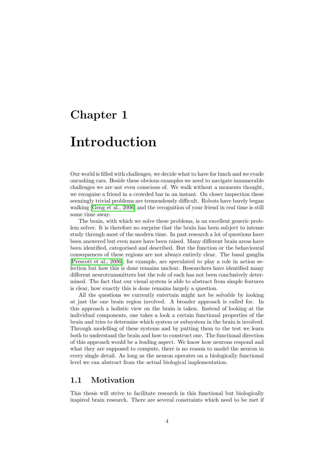## <span id="page-5-0"></span>Chapter 1

# Introduction

Our world is filled with challenges, we decide what to have for lunch and we evade onrushing cars. Beside these obvious examples we need to navigate innumerable challenges we are not even conscious of. We walk without a moments thought, we recognise a friend in a crowded bar in an instant. On closer inspection these seemingly trivial problems are tremendously difficult. Robots have barely began walking [\[Geng et al., 2006\]](#page-54-0) and the recognition of your friend in real time is still some time away.

The brain, with which we solve these problems, is an excellent generic problem solver. It is therefore no surprise that the brain has been subject to intense study through most of the modern time. In past research a lot of questions have been answered but even more have been raised. Many different brain areas have been identified, categorised and described. But the function or the behavioural consequences of these regions are not always entirely clear. The basal ganglia [\[Prescott et al., 2006\]](#page-55-0), for example, are speculated to play a role in action selection but how this is done remains unclear. Researchers have identified many different neurotransmitters but the role of each has not been conclusively determined. The fact that our visual system is able to abstract from simple features is clear, how exactly this is done remains largely a question.

All the questions we currently entertain might not be solvable by looking at just the one brain region involved. A broader approach is called for. In this approach a holistic view on the brain is taken. Instead of looking at the individual components, one takes a look a certain functional properties of the brain and tries to determine which system or subsystem in the brain is involved. Through modelling of these systems and by putting them to the test we learn both to understand the brain and how to construct one. The functional direction of this approach would be a leading aspect. We know how neurons respond and what they are supposed to compute, there is no reason to model the neuron in every single detail. As long as the neuron operates on a biologically functional level we can abstract from the actual biological implementation.

### <span id="page-5-1"></span>1.1 Motivation

This thesis will strive to facilitate research in this functional but biologically inspired brain research. There are several constraints which need to be met if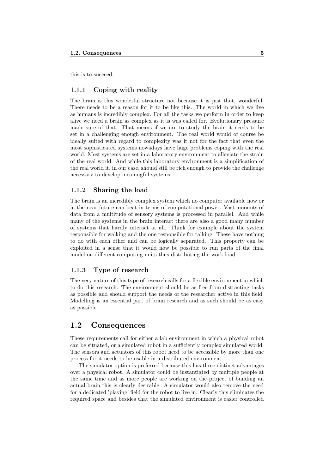<span id="page-6-0"></span>this is to succeed.

#### 1.1.1 Coping with reality

The brain is this wonderful structure not because it is just that, wonderful. There needs to be a reason for it to be like this. The world in which we live as humans is incredibly complex. For all the tasks we perform in order to keep alive we need a brain as complex as it is was called for. Evolutionary pressure made sure of that. That means if we are to study the brain it needs to be set in a challenging enough environment. The real world would of course be ideally suited with regard to complexity was it not for the fact that even the most sophisticated systems nowadays have huge problems coping with the real world. Most systems are set in a laboratory environment to alleviate the strain of the real world. And while this laboratory environment is a simplification of the real world it, in our case, should still be rich enough to provide the challenge necessary to develop meaningful systems.

#### <span id="page-6-1"></span>1.1.2 Sharing the load

The brain is an incredibly complex system which no computer available now or in the near future can beat in terms of computational power. Vast amounts of data from a multitude of sensory systems is processed in parallel. And while many of the systems in the brain interact there are also a good many number of systems that hardly interact at all. Think for example about the system responsible for walking and the one responsible for talking. These have nothing to do with each other and can be logically separated. This property can be exploited in a sense that it would now be possible to run parts of the final model on different computing units thus distributing the work load.

#### <span id="page-6-2"></span>1.1.3 Type of research

The very nature of this type of research calls for a flexible environment in which to do this research. The environment should be as free from distracting tasks as possible and should support the needs of the researcher active in this field. Modelling is an essential part of brain research and as such should be as easy as possible.

### <span id="page-6-3"></span>1.2 Consequences

These requirements call for either a lab environment in which a physical robot can be situated, or a simulated robot in a sufficiently complex simulated world. The sensors and actuators of this robot need to be accessible by more than one process for it needs to be usable in a distributed environment.

The simulator option is preferred because this has three distinct advantages over a physical robot. A simulator could be instantiated by multiple people at the same time and as more people are working on the project of building an actual brain this is clearly desirable. A simulator would also remove the need for a dedicated 'playing' field for the robot to live in. Clearly this eliminates the required space and besides that the simulated environment is easier controlled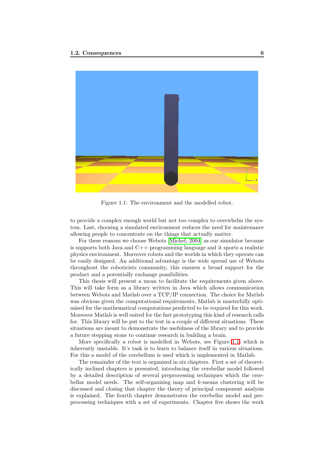

Figure 1.1: The environment and the modelled robot.

<span id="page-7-0"></span>to provide a complex enough world but not too complex to overwhelm the system. Last, choosing a simulated environment reduces the need for maintenance allowing people to concentrate on the things that actually matter.

For these reasons we choose Webots [\[Michel, 2004\]](#page-55-1) as our simulator because is supports both Java and C++ programming language and it sports a realistic physics environment. Moreover robots and the worlds in which they operate can be easily designed. An additional advantage is the wide spread use of Webots throughout the roboticists community, this ensures a broad support for the product and a potentially exchange possibilities.

This thesis will present a mean to facilitate the requirements given above. This will take form as a library written in Java which allows communication between Webots and Matlab over a TCP/IP connection. The choice for Matlab was obvious given the computational requirements, Matlab is masterfully optimised for the mathematical computations predicted to be required for this work. Moreover Matlab is well suited for the fast prototyping this kind of research calls for. This library will be put to the test in a couple of different situations. These situations are meant to demonstrate the usefulness of the library and to provide a future stepping stone to continue research in building a brain.

More specifically a robot is modelled in Webots, see Figure [1.1,](#page-7-0) which is inherently unstable. It's task is to learn to balance itself in various situations. For this a model of the cerebellum is used which is implemented in Matlab.

The remainder of the text is organised in six chapters. First a set of theoretically inclined chapters is presented, introducing the cerebellar model followed by a detailed description of several preprocessing techniques which the cerebellar model needs. The self-organising map and  $k$ -means clustering will be discussed and closing that chapter the theory of principal component analysis is explained. The fourth chapter demonstrates the cerebellar model and preprocessing techniques with a set of experiments. Chapter five shows the work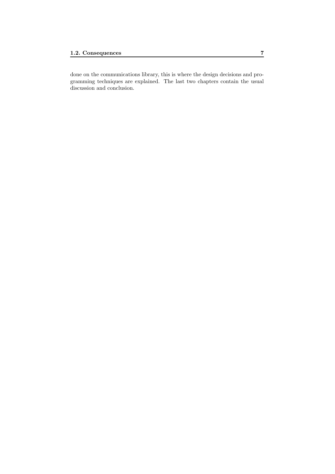done on the communications library, this is where the design decisions and programming techniques are explained. The last two chapters contain the usual discussion and conclusion.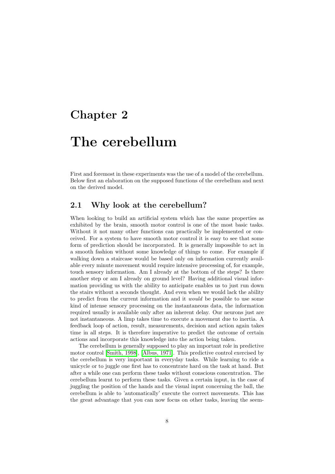## <span id="page-9-0"></span>Chapter 2

# The cerebellum

First and foremost in these experiments was the use of a model of the cerebellum. Below first an elaboration on the supposed functions of the cerebellum and next on the derived model.

## <span id="page-9-1"></span>2.1 Why look at the cerebellum?

When looking to build an artificial system which has the same properties as exhibited by the brain, smooth motor control is one of the most basic tasks. Without it not many other functions can practically be implemented or conceived. For a system to have smooth motor control it is easy to see that some form of prediction should be incorporated. It is generally impossible to act in a smooth fashion without some knowledge of things to come. For example if walking down a staircase would be based only on information currently available every minute movement would require intensive processing of, for example, touch sensory information. Am I already at the bottom of the steps? Is there another step or am I already on ground level? Having additional visual information providing us with the ability to anticipate enables us to just run down the stairs without a seconds thought. And even when we would lack the ability to predict from the current information and it *would* be possible to use some kind of intense sensory processing on the instantaneous data, the information required usually is available only after an inherent delay. Our neurons just are not instantaneous. A limp takes time to execute a movement due to inertia. A feedback loop of action, result, measurements, decision and action again takes time in all steps. It is therefore imperative to predict the outcome of certain actions and incorporate this knowledge into the action being taken.

The cerebellum is generally supposed to play an important role in predictive motor control [\[Smith, 1998\]](#page-55-2), [\[Albus, 1971\]](#page-54-1). This predictive control exercised by the cerebellum is very important in everyday tasks. While learning to ride a unicycle or to juggle one first has to concentrate hard on the task at hand. But after a while one can perform these tasks without conscious concentration. The cerebellum learnt to perform these tasks. Given a certain input, in the case of juggling the position of the hands and the visual input concerning the ball, the cerebellum is able to 'automatically' execute the correct movements. This has the great advantage that you can now focus on other tasks, leaving the seem-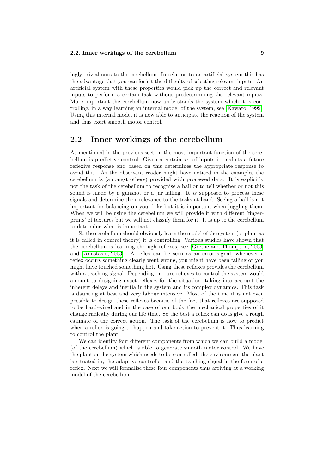ingly trivial ones to the cerebellum. In relation to an artificial system this has the advantage that you can forfeit the difficulty of selecting relevant inputs. An artificial system with these properties would pick up the correct and relevant inputs to perform a certain task without predetermining the relevant inputs. More important the cerebellum now understands the system which it is controlling, in a way learning an internal model of the system, see [\[Kawato, 1999\]](#page-54-2). Using this internal model it is now able to anticipate the reaction of the system and thus exert smooth motor control.

### <span id="page-10-0"></span>2.2 Inner workings of the cerebellum

As mentioned in the previous section the most important function of the cerebellum is predictive control. Given a certain set of inputs it predicts a future reflexive response and based on this determines the appropriate response to avoid this. As the observant reader might have noticed in the examples the cerebellum is (amongst others) provided with processed data. It is explicitly not the task of the cerebellum to recognise a ball or to tell whether or not this sound is made by a gunshot or a jar falling. It is supposed to process these signals and determine their relevance to the tasks at hand. Seeing a ball is not important for balancing on your bike but it is important when juggling them. When we will be using the cerebellum we will provide it with different 'fingerprints' of textures but we will not classify them for it. It is up to the cerebellum to determine what is important.

So the cerebellum should obviously learn the model of the system (or plant as it is called in control theory) it is controlling. Various studies have shown that the cerebellum is learning through reflexes, see [Grethe and [Thompson, 2003\]](#page-54-3) and [\[Anastasio, 2003\]](#page-54-4). A reflex can be seen as an error signal, whenever a reflex occurs something clearly went wrong, you might have been falling or you might have touched something hot. Using these reflexes provides the cerebellum with a teaching signal. Depending on pure reflexes to control the system would amount to designing exact reflexes for the situation, taking into account the inherent delays and inertia in the system and its complex dynamics. This task is daunting at best and very labour intensive. Most of the time it is not even possible to design these reflexes because of the fact that reflexes are supposed to be hard-wired and in the case of our body the mechanical properties of it change radically during our life time. So the best a reflex can do is give a rough estimate of the correct action. The task of the cerebellum is now to predict when a reflex is going to happen and take action to prevent it. Thus learning to control the plant.

We can identify four different components from which we can build a model (of the cerebellum) which is able to generate smooth motor control. We have the plant or the system which needs to be controlled, the environment the plant is situated in, the adaptive controller and the teaching signal in the form of a reflex. Next we will formalise these four components thus arriving at a working model of the cerebellum.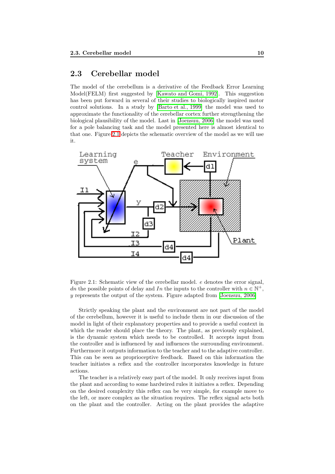## <span id="page-11-0"></span>2.3 Cerebellar model

The model of the cerebellum is a derivative of the Feedback Error Learning Model(FELM) first suggested by [\[Kawato and Gomi, 1992\]](#page-54-5). This suggestion has been put forward in several of their studies to biologically inspired motor control solutions. In a study by [\[Barto et al., 1999\]](#page-54-6) the model was used to approximate the functionality of the cerebellar cortex further strengthening the biological plausibility of the model. Last in [\[Joensuu, 2006\]](#page-54-7) the model was used for a pole balancing task and the model presented here is almost identical to that one. Figure [2.1](#page-11-1) depicts the schematic overview of the model as we will use it.



<span id="page-11-1"></span>Figure 2.1: Schematic view of the cerebellar model. e denotes the error signal, dn the possible points of delay and In the inputs to the controller with  $n \in \mathbb{N}^+$ , y represents the output of the system. Figure adapted from [\[Joensuu, 2006\]](#page-54-7)

Strictly speaking the plant and the environment are not part of the model of the cerebellum, however it is useful to include them in our discussion of the model in light of their explanatory properties and to provide a useful context in which the reader should place the theory. The plant, as previously explained, is the dynamic system which needs to be controlled. It accepts input from the controller and is influenced by and influences the surrounding environment. Furthermore it outputs information to the teacher and to the adaptive controller. This can be seen as proprioceptive feedback. Based on this information the teacher initiates a reflex and the controller incorporates knowledge in future actions.

The teacher is a relatively easy part of the model. It only receives input from the plant and according to some hardwired rules it initiates a reflex. Depending on the desired complexity this reflex can be very simple, for example move to the left, or more complex as the situation requires. The reflex signal acts both on the plant and the controller. Acting on the plant provides the adaptive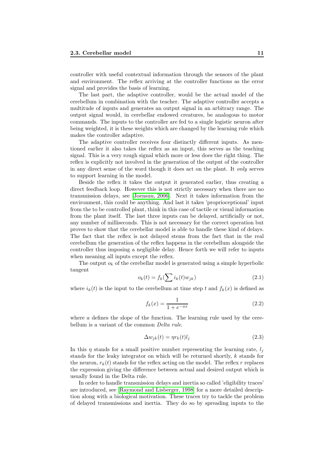controller with useful contextual information through the sensors of the plant and environment. The reflex arriving at the controller functions as the error signal and provides the basis of learning.

The last part, the adaptive controller, would be the actual model of the cerebellum in combination with the teacher. The adaptive controller accepts a multitude of inputs and generates an output signal in an arbitrary range. The output signal would, in cerebellar endowed creatures, be analogous to motor commands. The inputs to the controller are fed to a single logistic neuron after being weighted, it is these weights which are changed by the learning rule which makes the controller adaptive.

The adaptive controller receives four distinctly different inputs. As mentioned earlier it also takes the reflex as an input, this serves as the teaching signal. This is a very rough signal which more or less does the right thing. The reflex is explicitly not involved in the generation of the output of the controller in any direct sense of the word though it does act on the plant. It only serves to support learning in the model.

Beside the reflex it takes the output it generated earlier, thus creating a direct feedback loop. However this is not strictly necessary when there are no transmission delays, see [\[Joensuu, 2006\]](#page-54-7). Next it takes information from the environment, this could be anything. And last it takes 'proprioceptional' input from the to be controlled plant, think in this case of tactile or visual information from the plant itself. The last three inputs can be delayed, artificially or not, any number of milliseconds. This is not necessary for the correct operation but proves to show that the cerebellar model is able to handle these kind of delays. The fact that the reflex is not delayed stems from the fact that in the real cerebellum the generation of the reflex happens in the cerebellum alongside the controller thus imposing a negligible delay. Hence forth we will refer to inputs when meaning all inputs except the reflex.

The output  $o_k$  of the cerebellar model is generated using a simple hyperbolic tangent

$$
o_k(t) = f_k(\sum i_k(t)w_{jk})
$$
\n(2.1)

where  $i_k(t)$  is the input to the cerebellum at time step t and  $f_k(x)$  is defined as

$$
f_k(x) = \frac{1}{1 + e^{-ax}}\tag{2.2}
$$

<span id="page-12-0"></span>where  $a$  defines the slope of the function. The learning rule used by the cerebellum is a variant of the common *Delta rule*.

$$
\Delta w_{jk}(t) = \eta r_k(t) l_j \tag{2.3}
$$

In this  $\eta$  stands for a small positive number representing the learning rate,  $l_i$ stands for the leaky integrator on which will be returned shortly, k stands for the neuron,  $r_k(t)$  stands for the reflex acting on the model. The reflex r replaces the expression giving the difference between actual and desired output which is usually found in the Delta rule.

In order to handle transmission delays and inertia so called 'eligibility traces' are introduced, see [\[Raymond and Lisberger, 1998\]](#page-55-3) for a more detailed description along with a biological motivation. These traces try to tackle the problem of delayed transmissions and inertia. They do so by spreading inputs to the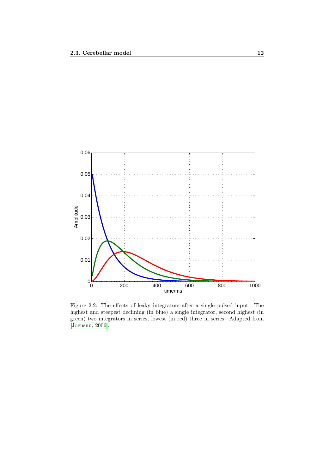

<span id="page-13-0"></span>Figure 2.2: The effects of leaky integrators after a single pulsed input. The highest and steepest declining (in blue) a single integrator, second highest (in green) two integrators in series, lowest (in red) three in series. Adapted from [\[Joensuu, 2006\]](#page-54-7).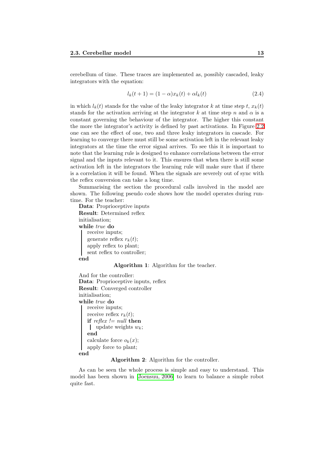cerebellum of time. These traces are implemented as, possibly cascaded, leaky integrators with the equation:

$$
l_k(t+1) = (1 - \alpha)x_k(t) + \alpha l_k(t)
$$
\n(2.4)

in which  $l_k(t)$  stands for the value of the leaky integrator k at time step t,  $x_k(t)$ stands for the activation arriving at the integrator k at time step n and  $\alpha$  is a constant governing the behaviour of the integrator. The higher this constant the more the integrator's activity is defined by past activations. In Figure [2.2](#page-13-0) one can see the effect of one, two and three leaky integrators in cascade. For learning to converge there must still be some activation left in the relevant leaky integrators at the time the error signal arrives. To see this it is important to note that the learning rule is designed to enhance correlations between the error signal and the inputs relevant to it. This ensures that when there is still some activation left in the integrators the learning rule will make sure that if there is a correlation it will be found. When the signals are severely out of sync with the reflex conversion can take a long time.

Summarising the section the procedural calls involved in the model are shown. The following pseudo code shows how the model operates during runtime. For the teacher:

```
Data: Proprioceptive inputs
Result: Determined reflex
initialisation;
while true do
   receive inputs;
   generate reflex r_k(t);
   apply reflex to plant;
   sent reflex to controller;
end
```
#### Algorithm 1: Algorithm for the teacher.

```
And for the controller:
Data: Proprioceptive inputs, reflex
Result: Converged controller
initialisation;
while true do
   receive inputs;
   receive reflex r_k(t);
   if reflex != null then
    update weights w_k;
   end
   calculate force o_k(x);
   apply force to plant;
```
#### end

Algorithm 2: Algorithm for the controller.

As can be seen the whole process is simple and easy to understand. This model has been shown in [\[Joensuu, 2006\]](#page-54-7) to learn to balance a simple robot quite fast.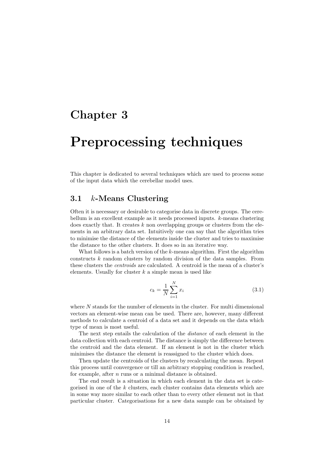## <span id="page-15-0"></span>Chapter 3

# Preprocessing techniques

This chapter is dedicated to several techniques which are used to process some of the input data which the cerebellar model uses.

### <span id="page-15-1"></span>3.1 k-Means Clustering

Often it is necessary or desirable to categorise data in discrete groups. The cerebellum is an excellent example as it needs processed inputs. k-means clustering does exactly that. It creates  $k$  non overlapping groups or clusters from the elements in an arbitrary data set. Intuitively one can say that the algorithm tries to minimise the distance of the elements inside the cluster and tries to maximise the distance to the other clusters. It does so in an iterative way.

What follows is a batch version of the k-means algorithm. First the algorithm constructs k random clusters by random division of the data samples. From these clusters the centroids are calculated. A centroid is the mean of a cluster's elements. Usually for cluster  $k$  a simple mean is used like

<span id="page-15-2"></span>
$$
c_k = \frac{1}{N} \sum_{i=1}^{N} x_i
$$
\n(3.1)

where N stands for the number of elements in the cluster. For multi dimensional vectors an element-wise mean can be used. There are, however, many different methods to calculate a centroid of a data set and it depends on the data which type of mean is most useful.

The next step entails the calculation of the distance of each element in the data collection with each centroid. The distance is simply the difference between the centroid and the data element. If an element is not in the cluster which minimises the distance the element is reassigned to the cluster which does.

Then update the centroids of the clusters by recalculating the mean. Repeat this process until convergence or till an arbitrary stopping condition is reached, for example, after *n* runs or a minimal distance is obtained.

The end result is a situation in which each element in the data set is categorised in one of the k clusters, each cluster contains data elements which are in some way more similar to each other than to every other element not in that particular cluster. Categorisations for a new data sample can be obtained by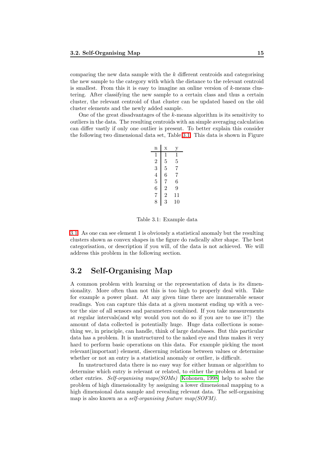comparing the new data sample with the  $k$  different centroids and categorising the new sample to the category with which the distance to the relevant centroid is smallest. From this it is easy to imagine an online version of  $k$ -means clustering. After classifying the new sample to a certain class and thus a certain cluster, the relevant centroid of that cluster can be updated based on the old cluster elements and the newly added sample.

One of the great disadvantages of the k-means algorithm is its sensitivity to outliers in the data. The resulting centroids with an simple averaging calculation can differ vastly if only one outlier is present. To better explain this consider the following two dimensional data set, Table [3.1.](#page-16-1) This data is shown in Figure

| n              | X              |    |
|----------------|----------------|----|
| 1              | 1              | 1  |
| $\overline{2}$ | 5              | 5  |
| 3              | 5              | 7  |
| 4              | 6              | 7  |
| 5              | 7              | 6  |
| 6              | $\overline{2}$ | 9  |
| 7              | $\overline{2}$ | 11 |
| 8              | 3              | 10 |

<span id="page-16-1"></span>Table 3.1: Example data

[3.1.](#page-17-0) As one can see element 1 is obviously a statistical anomaly but the resulting clusters shown as convex shapes in the figure do radically alter shape. The best categorisation, or description if you will, of the data is not achieved. We will address this problem in the following section.

## <span id="page-16-0"></span>3.2 Self-Organising Map

A common problem with learning or the representation of data is its dimensionality. More often than not this is too high to properly deal with. Take for example a power plant. At any given time there are innumerable sensor readings. You can capture this data at a given moment ending up with a vector the size of all sensors and parameters combined. If you take measurements at regular intervals(and why would you not do so if you are to use it?) the amount of data collected is potentially huge. Huge data collections is something we, in principle, can handle, think of large databases. But this particular data has a problem. It is unstructured to the naked eye and thus makes it very hard to perform basic operations on this data. For example picking the most relevant(important) element, discerning relations between values or determine whether or not an entry is a statistical anomaly or outlier, is difficult.

In unstructured data there is no easy way for either human or algorithm to determine which entry is relevant or related, to either the problem at hand or other entries. Self-organising maps(SOMs) [\[Kohonen, 1998\]](#page-55-4) help to solve the problem of high dimensionality by assigning a lower dimensional mapping to a high dimensional data sample and revealing relevant data. The self-organising map is also known as a *self-organising feature map(SOFM)*.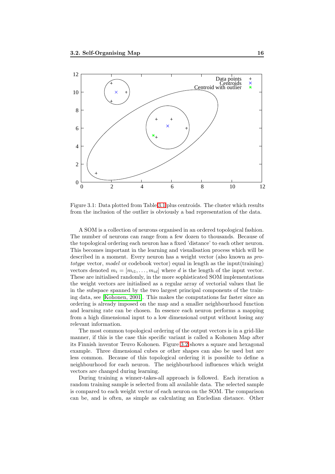

<span id="page-17-0"></span>Figure 3.1: Data plotted from Table [3.1](#page-16-1) plus centroids. The cluster which results from the inclusion of the outlier is obviously a bad representation of the data.

A SOM is a collection of neurons organised in an ordered topological fashion. The number of neurons can range from a few dozen to thousands. Because of the topological ordering each neuron has a fixed 'distance' to each other neuron. This becomes important in the learning and visualisation process which will be described in a moment. Every neuron has a weight vector (also known as prototype vector, model or codebook vector) equal in length as the input(training) vectors denoted  $m_i = [m_{i1}, \ldots, m_{id}]$  where d is the length of the input vector. These are initialised randomly, in the more sophisticated SOM implementations the weight vectors are initialised as a regular array of vectorial values that lie in the subspace spanned by the two largest principal components of the training data, see [\[Kohonen, 2001\]](#page-55-5). This makes the computations far faster since an ordering is already imposed on the map and a smaller neighbourhood function and learning rate can be chosen. In essence each neuron performs a mapping from a high dimensional input to a low dimensional output without losing any relevant information.

The most common topological ordering of the output vectors is in a grid-like manner, if this is the case this specific variant is called a Kohonen Map after its Finnish inventor Teuvo Kohonen. Figure [3.2](#page-18-0) shows a square and hexagonal example. Three dimensional cubes or other shapes can also be used but are less common. Because of this topological ordering it is possible to define a neighbourhood for each neuron. The neighbourhood influences which weight vectors are changed during learning.

During training a winner-takes-all approach is followed. Each iteration a random training sample is selected from all available data. The selected sample is compared to each weight vector of each neuron on the SOM. The comparison can be, and is often, as simple as calculating an Eucledian distance. Other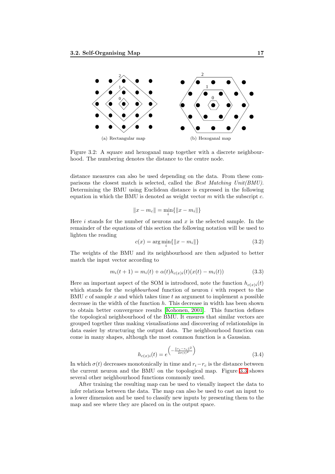

<span id="page-18-0"></span>Figure 3.2: A square and hexoganal map together with a discrete neighbourhood. The numbering denotes the distance to the centre node.

distance measures can also be used depending on the data. From these comparisons the closest match is selected, called the Best Matching Unit(BMU). Determining the BMU using Euclidean distance is expressed in the following equation in which the BMU is denoted as weight vector  $m$  with the subscript  $c$ .

$$
||x - m_c|| = \min_i \{ ||x - m_i|| \}
$$

<span id="page-18-1"></span>Here i stands for the number of neurons and  $x$  is the selected sample. In the remainder of the equations of this section the following notation will be used to lighten the reading

$$
c(x) = \arg\min_{i} \{ \|x - m_i\| \}
$$
 (3.2)

<span id="page-18-2"></span>The weights of the BMU and its neighbourhood are then adjusted to better match the input vector according to

$$
m_i(t+1) = m_i(t) + \alpha(t)h_{c(x)i}(t)(x(t) - m_i(t))
$$
\n(3.3)

Here an important aspect of the SOM is introduced, note the function  $h_{c(x)i}(t)$ which stands for the *neighbourhood* function of neuron  $i$  with respect to the BMU c of sample x and which takes time t as argument to implement a possible decrease in the width of the function  $h$ . This decrease in width has been shown to obtain better convergence results [\[Kohonen, 2001\]](#page-55-5). This function defines the topological neighbourhood of the BMU. It ensures that similar vectors are grouped together thus making visualisations and discovering of relationships in data easier by structuring the output data. The neighbourhood function can come in many shapes, although the most common function is a Gaussian.

$$
h_{c(x)i}(t) = e^{\left(-\frac{\|\boldsymbol{r}_i - \boldsymbol{r}_c\|^2}{2\sigma(t)^2}\right)}\tag{3.4}
$$

<span id="page-18-3"></span>In which  $\sigma(t)$  decreases monotonically in time and  $r_i-r_c$  is the distance between the current neuron and the BMU on the topological map. Figure [3.3](#page-19-0) shows several other neighbourhood functions commonly used.

After training the resulting map can be used to visually inspect the data to infer relations between the data. The map can also be used to cast an input to a lower dimension and be used to classify new inputs by presenting them to the map and see where they are placed on in the output space.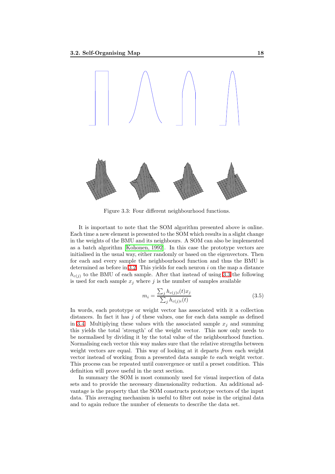

<span id="page-19-0"></span>Figure 3.3: Four different neighbourhood functions.

It is important to note that the SOM algorithm presented above is online. Each time a new element is presented to the SOM which results in a slight change in the weights of the BMU and its neighbours. A SOM can also be implemented as a batch algorithm [\[Kohonen, 1992\]](#page-54-8). In this case the prototype vectors are initialised in the usual way, either randomly or based on the eigenvectors. Then for each and every sample the neighbourhood function and thus the BMU is determined as before in [3.2.](#page-18-1) This yields for each neuron  $i$  on the map a distance  $h_{c(i)}$  to the BMU of each sample. After that instead of using [3.3](#page-18-2) the following is used for each sample  $x_j$  where j is the number of samples available

$$
m_i = \frac{\sum_j h_{c(j)i}(t)x_j}{\sum_j h_{c(j)i}(t)}
$$
\n(3.5)

<span id="page-19-1"></span>In words, each prototype or weight vector has associated with it a collection distances. In fact it has  $j$  of these values, one for each data sample as defined in [3.4.](#page-18-3) Multiplying these values with the associated sample  $x_i$  and summing this yields the total 'strength' of the weight vector. This now only needs to be normalised by dividing it by the total value of the neighbourhood function. Normalising each vector this way makes sure that the relative strengths between weight vectors are equal. This way of looking at it departs *from* each weight vector instead of working from a presented data sample to each weight vector. This process can be repeated until convergence or until a preset condition. This definition will prove useful in the next section.

In summary the SOM is most commonly used for visual inspection of data sets and to provide the necessary dimensionality reduction. An additional advantage is the property that the SOM constructs prototype vectors of the input data. This averaging mechanism is useful to filter out noise in the original data and to again reduce the number of elements to describe the data set.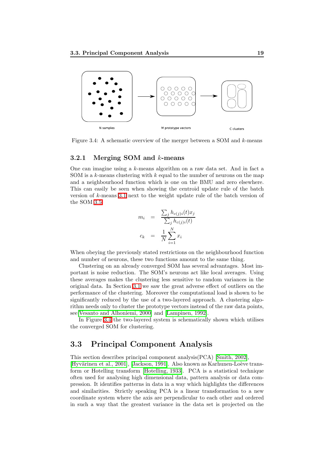

<span id="page-20-2"></span>Figure 3.4: A schematic overview of the merger between a SOM and  $k$ -means

#### <span id="page-20-0"></span>3.2.1 Merging SOM and k-means

One can imagine using a  $k$ -means algorithm on a raw data set. And in fact a SOM is a  $k$ -means clustering with  $k$  equal to the number of neurons on the map and a neighbourhood function which is one on the BMU and zero elsewhere. This can easily be seen when showing the centroid update rule of the batch version of  $k$ -means [3.1](#page-15-2) next to the weight update rule of the batch version of the SOM [3.5.](#page-19-1)

$$
m_i = \frac{\sum_j h_{c(j)i}(t)x_j}{\sum_j h_{c(j)i}(t)}
$$

$$
c_k = \frac{1}{N} \sum_{i=1}^N x_i
$$

When obeying the previously stated restrictions on the neighbourhood function and number of neurons, these two functions amount to the same thing.

Clustering on an already converged SOM has several advantages. Most important is noise reduction. The SOM's neurons act like local averages. Using these averages makes the clustering less sensitive to random variances in the original data. In Section [3.1](#page-15-1) we saw the great adverse effect of outliers on the performance of the clustering. Moreover the computational load is shown to be significantly reduced by the use of a two-layered approach. A clustering algorithm needs only to cluster the prototype vectors instead of the raw data points, see[\[Vesanto and Alhoniemi, 2000\]](#page-55-6) and [\[Lampinen, 1992\]](#page-55-7).

In Figure [3.4](#page-20-2) the two-layered system is schematically shown which utilises the converged SOM for clustering.

## <span id="page-20-1"></span>3.3 Principal Component Analysis

This section describes principal component analysis(PCA) [\[Smith, 2002\]](#page-55-8),

[Hyvärinen et al., 2001], [\[Jackson, 1991\]](#page-54-10). Also known as Karhunen-Loève transform or Hotelling transform [\[Hotelling, 1933\]](#page-54-11). PCA is a statistical technique often used for analysing high dimensional data, pattern analysis or data compression. It identifies patterns in data in a way which highlights the differences and similarities. Strictly speaking PCA is a linear transformation to a new coordinate system where the axis are perpendicular to each other and ordered in such a way that the greatest variance in the data set is projected on the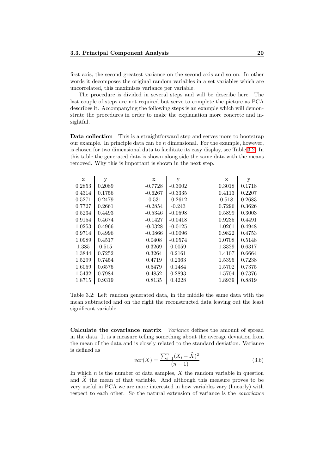first axis, the second greatest variance on the second axis and so on. In other words it decomposes the original random variables in a set variables which are uncorrelated, this maximises variance per variable.

The procedure is divided in several steps and will be describe here. The last couple of steps are not required but serve to complete the picture as PCA describes it. Accompanying the following steps is an example which will demonstrate the procedures in order to make the explanation more concrete and insightful.

Data collection This is a straightforward step and serves more to bootstrap our example. In principle data can be  $n$  dimensional. For the example, however, is chosen for two dimensional data to facilitate its easy display, see Table [3.2.](#page-21-0) In this table the generated data is shown along side the same data with the means removed. Why this is important is shown in the next step.

| $\mathbf x$ | У      | X         | у         | X      | у      |
|-------------|--------|-----------|-----------|--------|--------|
| 0.2853      | 0.2089 | $-0.7728$ | $-0.3002$ | 0.3018 | 0.1718 |
| 0.4314      | 0.1756 | $-0.6267$ | $-0.3335$ | 0.4113 | 0.2207 |
| 0.5271      | 0.2479 | $-0.531$  | $-0.2612$ | 0.518  | 0.2683 |
| 0.7727      | 0.2661 | $-0.2854$ | $-0.243$  | 0.7296 | 0.3626 |
| 0.5234      | 0.4493 | $-0.5346$ | $-0.0598$ | 0.5899 | 0.3003 |
| 0.9154      | 0.4674 | $-0.1427$ | $-0.0418$ | 0.9235 | 0.4491 |
| 1.0253      | 0.4966 | $-0.0328$ | $-0.0125$ | 1.0261 | 0.4948 |
| 0.9714      | 0.4996 | $-0.0866$ | $-0.0096$ | 0.9822 | 0.4753 |
| 1.0989      | 0.4517 | 0.0408    | $-0.0574$ | 1.0708 | 0.5148 |
| 1.385       | 0.515  | 0.3269    | 0.0059    | 1.3329 | 0.6317 |
| 1.3844      | 0.7252 | 0.3264    | 0.2161    | 1.4107 | 0.6664 |
| 1.5299      | 0.7454 | 0.4719    | 0.2363    | 1.5395 | 0.7238 |
| 1.6059      | 0.6575 | 0.5479    | 0.1484    | 1.5702 | 0.7375 |
| 1.5432      | 0.7984 | 0.4852    | 0.2893    | 1.5704 | 0.7376 |
| 1.8715      | 0.9319 | 0.8135    | 0.4228    | 1.8939 | 0.8819 |

<span id="page-21-0"></span>Table 3.2: Left random generated data, in the middle the same data with the mean subtracted and on the right the reconstructed data leaving out the least significant variable.

Calculate the covariance matrix *Variance* defines the amount of spread in the data. It is a measure telling something about the average deviation from the mean of the data and is closely related to the standard deviation. Variance is defined as

$$
var(X) = \frac{\sum_{i=1}^{n} (X_i - \hat{X})^2}{(n-1)}
$$
\n(3.6)

In which  $n$  is the number of data samples,  $X$  the random variable in question and  $\widehat{X}$  the mean of that variable. And although this measure proves to be very useful in PCA we are more interested in how variables vary (linearly) with respect to each other. So the natural extension of variance is the covariance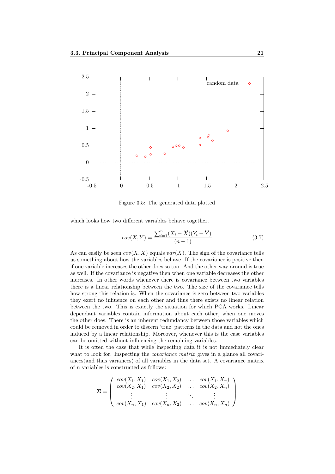

Figure 3.5: The generated data plotted

<span id="page-22-0"></span>which looks how two different variables behave together.

$$
cov(X,Y) = \frac{\sum_{i=1}^{n} (X_i - \hat{X})(Y_i - \hat{Y})}{(n-1)}
$$
\n(3.7)

As can easily be seen  $cov(X, X)$  equals  $var(X)$ . The sign of the covariance tells us something about how the variables behave. If the covariance is positive then if one variable increases the other does so too. And the other way around is true as well. If the covariance is negative then when one variable decreases the other increases. In other words whenever there is covariance between two variables there is a linear relationship between the two. The size of the covariance tells how strong this relation is. When the covariance is zero between two variables they exert no influence on each other and thus there exists no linear relation between the two. This is exactly the situation for which PCA works. Linear dependant variables contain information about each other, when one moves the other does. There is an inherent redundancy between those variables which could be removed in order to discern 'true' patterns in the data and not the ones induced by a linear relationship. Moreover, whenever this is the case variables can be omitted without influencing the remaining variables.

It is often the case that while inspecting data it is not immediately clear what to look for. Inspecting the *covariance matrix* gives in a glance all covariances(and thus variances) of all variables in the data set. A covariance matrix of  $n$  variables is constructed as follows:

$$
\Sigma = \begin{pmatrix} cov(X_1, X_1) & cov(X_1, X_2) & \dots & cov(X_1, X_n) \\ cov(X_2, X_1) & cov(X_2, X_2) & \dots & cov(X_2, X_n) \\ \vdots & \vdots & \ddots & \vdots \\ cov(X_n, X_1) & cov(X_n, X_2) & \dots & cov(X_n, X_n) \end{pmatrix}
$$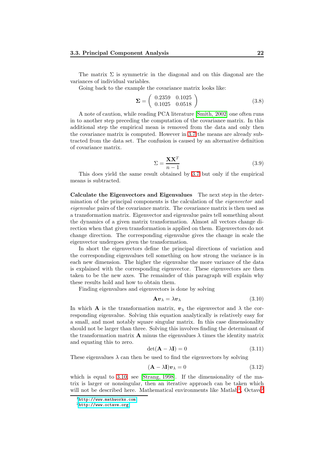The matrix  $\Sigma$  is symmetric in the diagonal and on this diagonal are the variances of individual variables.

<span id="page-23-3"></span>Going back to the example the covariance matrix looks like:

$$
\Sigma = \left(\begin{array}{cc} 0.2359 & 0.1025 \\ 0.1025 & 0.0518 \end{array}\right) \tag{3.8}
$$

A note of caution, while reading PCA literature [\[Smith, 2002\]](#page-55-8) one often runs in to another step preceding the computation of the covariance matrix. In this additional step the empirical mean is removed from the data and only then the covariance matrix is computed. However in [3.7](#page-22-0) the means are already subtracted from the data set. The confusion is caused by an alternative definition of covariance matrix.

<span id="page-23-6"></span>
$$
\Sigma = \frac{\mathbf{X}\mathbf{X}^T}{n-1} \tag{3.9}
$$

This does yield the same result obtained by [3.7](#page-22-0) but only if the empirical means is subtracted.

Calculate the Eigenvectors and Eigenvalues The next step in the determination of the principal components is the calculation of the eigenvector and eigenvalue pairs of the covariance matrix. The covariance matrix is then used as a transformation matrix. Eigenvector and eigenvalue pairs tell something about the dynamics of a given matrix transformation. Almost all vectors change direction when that given transformation is applied on them. Eigenvectors do not change direction. The corresponding eigenvalue gives the change in scale the eigenvector undergoes given the transformation.

In short the eigenvectors define the principal directions of variation and the corresponding eigenvalues tell something on how strong the variance is in each new dimension. The higher the eigenvalue the more variance of the data is explained with the corresponding eigenvector. These eigenvectors are then taken to be the new axes. The remainder of this paragraph will explain why these results hold and how to obtain them.

<span id="page-23-0"></span>Finding eigenvalues and eigenvectors is done by solving

$$
\mathbf{A}\mathbf{v}_{\lambda} = \lambda \mathbf{v}_{\lambda} \tag{3.10}
$$

In which **A** is the transformation matrix,  $v_{\lambda}$  the eigenvector and  $\lambda$  the corresponding eigenvalue. Solving this equation analytically is relatively easy for a small, and most notably square singular matrix. In this case dimensionality should not be larger than three. Solving this involves finding the determinant of the transformation matrix **A** minus the eigenvalues  $\lambda$  times the identity matrix and equating this to zero.

$$
\det(\mathbf{A} - \lambda \mathbf{I}) = 0 \tag{3.11}
$$

<span id="page-23-5"></span><span id="page-23-4"></span>These eigenvalues  $\lambda$  can then be used to find the eigenvectors by solving

$$
(\mathbf{A} - \lambda \mathbf{I}) \mathbf{v}_{\lambda} = 0 \tag{3.12}
$$

which is equal to [3.10,](#page-23-0) see [\[Strang, 1998\]](#page-55-9). If the dimensionality of the matrix is larger or nonsingular, then an iterative approach can be taken which will not be described here. Mathematical environments like Matlab<sup>[1](#page-23-1)</sup>, Octave<sup>[2](#page-23-2)</sup>

 $1$ <http://www.mathworks.com>

<span id="page-23-2"></span><span id="page-23-1"></span><sup>2</sup><http://www.octave.org>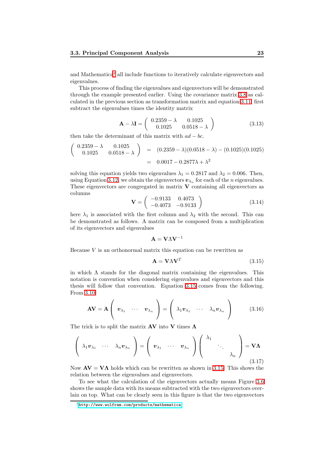and Mathematica[3](#page-24-0) all include functions to iteratively calculate eigenvectors and eigenvalues.

This process of finding the eigenvalues and eigenvectors will be demonstrated through the example presented earlier. Using the covariance matrix [3.8](#page-23-3) as calculated in the previous section as transformation matrix and equation [3.11,](#page-23-4) first subtract the eigenvalues times the identity matrix

$$
\mathbf{A} - \lambda \mathbf{I} = \begin{pmatrix} 0.2359 - \lambda & 0.1025 \\ 0.1025 & 0.0518 - \lambda \end{pmatrix}
$$
 (3.13)

then take the determinant of this matrix with  $ad - bc$ .

$$
\begin{pmatrix}\n0.2359 - \lambda & 0.1025 \\
0.1025 & 0.0518 - \lambda\n\end{pmatrix} = (0.2359 - \lambda)(0.0518 - \lambda) - (0.1025)(0.1025)
$$
\n
$$
= 0.0017 - 0.2877\lambda + \lambda^2
$$

<span id="page-24-2"></span>solving this equation yields two eigenvalues  $\lambda_1 = 0.2817$  and  $\lambda_2 = 0.006$ . Then, using Equation [3.12,](#page-23-5) we obtain the eigenvectors  $\mathbf{v}_{\lambda_n}$  for each of the *n* eigenvalues. These eigenvectors are congregated in matrix  $V$  containing all eigenvectors as columns

$$
\mathbf{V} = \begin{pmatrix} -0.9133 & 0.4073 \\ -0.4073 & -0.9133 \end{pmatrix}
$$
 (3.14)

here  $\lambda_1$  is associated with the first column and  $\lambda_2$  with the second. This can be demonstrated as follows. A matrix can be composed from a multiplication of its eigenvectors and eigenvalues

$$
\mathbf{A} = \mathbf{V} \Lambda \mathbf{V}^{-1}
$$

Because  $V$  is an orthonormal matrix this equation can be rewritten as

<span id="page-24-1"></span>
$$
\mathbf{A} = \mathbf{V}\Lambda\mathbf{V}^T \tag{3.15}
$$

in which  $\Lambda$  stands for the diagonal matrix containing the eigenvalues. This notation is convention when considering eigenvalues and eigenvectors and this thesis will follow that convention. Equation [3.15](#page-24-1) comes from the following. From [3.10](#page-23-0)

$$
\mathbf{A}\mathbf{V} = \mathbf{A}\left(\begin{array}{cccc} \boldsymbol{v}_{\lambda_1} & \cdots & \boldsymbol{v}_{\lambda_n} \end{array}\right) = \left(\begin{array}{cccc} \lambda_1 \boldsymbol{v}_{\lambda_1} & \cdots & \lambda_n \boldsymbol{v}_{\lambda_n} \end{array}\right) \tag{3.16}
$$

The trick is to split the matrix  $AV$  into V times  $\Lambda$ 

$$
\left(\begin{array}{ccc} \lambda_1 v_{\lambda_1} & \cdots & \lambda_n v_{\lambda_n} \end{array}\right) = \left(\begin{array}{ccc} v_{\lambda_1} & \cdots & v_{\lambda_n} \end{array}\right) \left(\begin{array}{ccc} \lambda_1 & & \\ & \ddots & \\ & & \lambda_n \end{array}\right) = \mathbf{V}\Lambda
$$
\n(3.17)

Now  $\mathbf{A}\mathbf{V} = \mathbf{V}\mathbf{\Lambda}$  holds which can be rewritten as shown in [3.15.](#page-24-1) This shows the relation between the eigenvalues and eigenvectors.

To see what the calculation of the eigenvectors actually means Figure [3.6](#page-25-0) shows the sample data with its means subtracted with the two eigenvectors overlain on top. What can be clearly seen in this figure is that the two eigenvectors

<span id="page-24-0"></span><sup>3</sup><http://www.wolfram.com/products/mathematica>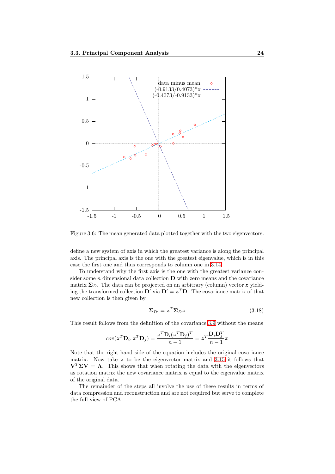

<span id="page-25-0"></span>Figure 3.6: The mean generated data plotted together with the two eigenvectors.

define a new system of axis in which the greatest variance is along the principal axis. The principal axis is the one with the greatest eigenvalue, which is in this case the first one and thus corresponds to column one in [3.14.](#page-24-2)

To understand why the first axis is the one with the greatest variance consider some  $n$  dimensional data collection  **with zero means and the covariance** matrix  $\Sigma_D$ . The data can be projected on an arbitrary (column) vector z yielding the transformed collection  $\mathbf{D}'$  via  $\mathbf{D}' = \mathbf{z}^T \mathbf{D}$ . The covariance matrix of that new collection is then given by

$$
\Sigma_{D'} = z^T \Sigma_D z \tag{3.18}
$$

This result follows from the definition of the covariance [3.9](#page-23-6) without the means

$$
cov(\boldsymbol{z}^T \mathbf{D}_i, \boldsymbol{z}^T \mathbf{D}_j) = \frac{\boldsymbol{z}^T \mathbf{D}_i (\boldsymbol{z}^T \mathbf{D}_j)^T}{n-1} = \boldsymbol{z}^T \frac{\mathbf{D}_i \mathbf{D}_j^T}{n-1} \boldsymbol{z}
$$

Note that the right hand side of the equation includes the original covariance matrix. Now take z to be the eigenvector matrix and [3.15](#page-24-1) it follows that  $V^T \Sigma V = \Lambda$ . This shows that when rotating the data with the eigenvectors as rotation matrix the new covariance matrix is equal to the eigenvalue matrix of the original data.

The remainder of the steps all involve the use of these results in terms of data compression and reconstruction and are not required but serve to complete the full view of PCA.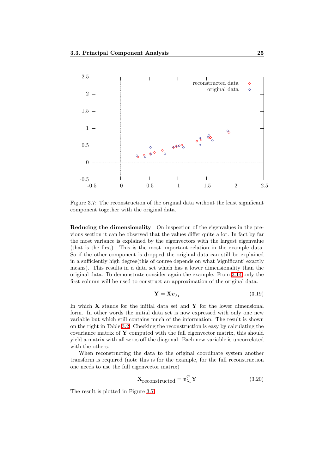

<span id="page-26-0"></span>Figure 3.7: The reconstruction of the original data without the least significant component together with the original data.

Reducing the dimensionality On inspection of the eigenvalues in the previous section it can be observed that the values differ quite a lot. In fact by far the most variance is explained by the eigenvectors with the largest eigenvalue (that is the first). This is the most important relation in the example data. So if the other component is dropped the original data can still be explained in a sufficiently high degree(this of course depends on what 'significant' exactly means). This results in a data set which has a lower dimensionality than the original data. To demonstrate consider again the example. From [3.14](#page-24-2) only the first column will be used to construct an approximation of the original data.

$$
\mathbf{Y} = \mathbf{X} \boldsymbol{v}_{\lambda_1} \tag{3.19}
$$

In which  $X$  stands for the initial data set and  $Y$  for the lower dimensional form. In other words the initial data set is now expressed with only one new variable but which still contains much of the information. The result is shown on the right in Table [3.2.](#page-21-0) Checking the reconstruction is easy by calculating the covariance matrix of  $\bf{Y}$  computed with the full eigenvector matrix, this should yield a matrix with all zeros off the diagonal. Each new variable is uncorrelated with the others.

When reconstructing the data to the original coordinate system another transform is required (note this is for the example, for the full reconstruction one needs to use the full eigenvector matrix)

$$
\mathbf{X}_{\text{reconstructed}} = \mathbf{v}_{\lambda_1}^T \mathbf{Y} \tag{3.20}
$$

The result is plotted in Figure [3.7.](#page-26-0)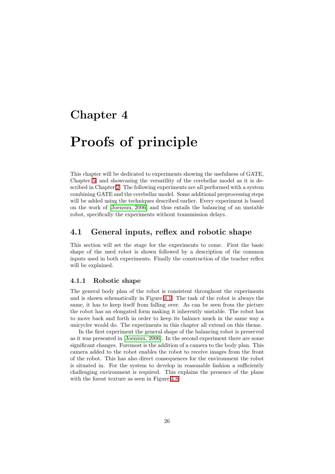## <span id="page-27-0"></span>Chapter 4

# Proofs of principle

This chapter will be dedicated to experiments showing the usefulness of GATE, Chapter [5,](#page-43-0) and showcasing the versatility of the cerebellar model as it is described in Chapter [2.](#page-9-0) The following experiments are all performed with a system combining GATE and the cerebellar model. Some additional preprocessing steps will be added using the techniques described earlier. Every experiment is based on the work of [\[Joensuu, 2006\]](#page-54-7) and thus entails the balancing of an unstable robot, specifically the experiments without transmission delays.

## <span id="page-27-1"></span>4.1 General inputs, reflex and robotic shape

This section will set the stage for the experiments to come. First the basic shape of the used robot is shown followed by a description of the common inputs used in both experiments. Finally the construction of the teacher reflex will be explained.

#### <span id="page-27-2"></span>4.1.1 Robotic shape

The general body plan of the robot is consistent throughout the experiments and is shown schematically in Figure [4.1.](#page-28-2) The task of the robot is always the same, it has to keep itself from falling over. As can be seen from the picture the robot has an elongated form making it inherently unstable. The robot has to move back and forth in order to keep its balance much in the same way a unicycler would do. The experiments in this chapter all extend on this theme.

In the first experiment the general shape of the balancing robot is preserved as it was presented in [\[Joensuu, 2006\]](#page-54-7). In the second experiment there are some significant changes. Foremost is the addition of a camera to the body plan. This camera added to the robot enables the robot to receive images from the front of the robot. This has also direct consequences for the environment the robot is situated in. For the system to develop in reasonable fashion a sufficiently challenging environment is required. This explains the presence of the plane with the forest texture as seen in Figure [4.8.](#page-34-2)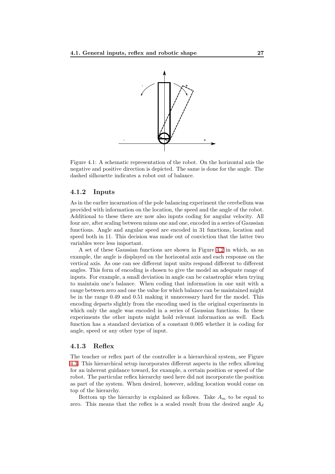

<span id="page-28-2"></span>Figure 4.1: A schematic representation of the robot. On the horizontal axis the negative and positive direction is depicted. The same is done for the angle. The dashed silhouette indicates a robot out of balance.

#### <span id="page-28-0"></span>4.1.2 Inputs

As in the earlier incarnation of the pole balancing experiment the cerebellum was provided with information on the location, the speed and the angle of the robot. Additional to these there are now also inputs coding for angular velocity. All four are, after scaling between minus one and one, encoded in a series of Gaussian functions. Angle and angular speed are encoded in 31 functions, location and speed both in 11. This decision was made out of conviction that the latter two variables were less important.

A set of these Gaussian functions are shown in Figure [4.2](#page-29-0) in which, as an example, the angle is displayed on the horizontal axis and each response on the vertical axis. As one can see different input units respond different to different angles. This form of encoding is chosen to give the model an adequate range of inputs. For example, a small deviation in angle can be catastrophic when trying to maintain one's balance. When coding that information in one unit with a range between zero and one the value for which balance can be maintained might be in the range 0.49 and 0.51 making it unnecessary hard for the model. This encoding departs slightly from the encoding used in the original experiments in which only the angle was encoded in a series of Gaussian functions. In these experiments the other inputs might hold relevant information as well. Each function has a standard deviation of a constant 0.005 whether it is coding for angle, speed or any other type of input.

#### <span id="page-28-1"></span>4.1.3 Reflex

The teacher or reflex part of the controller is a hierarchical system, see Figure [4.3.](#page-29-1) This hierarchical setup incorporates different aspects in the reflex allowing for an inherent guidance toward, for example, a certain position or speed of the robot. The particular reflex hierarchy used here did not incorporate the position as part of the system. When desired, however, adding location would come on top of the hierarchy.

Bottom up the hierarchy is explained as follows. Take  $A_m$  to be equal to zero. This means that the reflex is a scaled result from the desired angle  $A_d$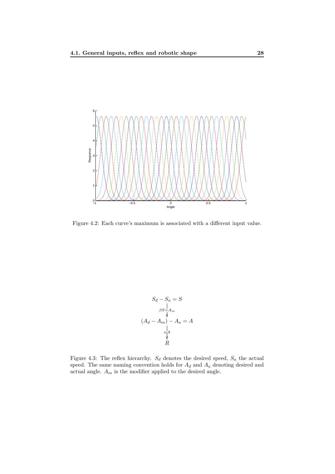

<span id="page-29-0"></span>Figure 4.2: Each curve's maximum is associated with a different input value.

$$
S_d - S_a = S
$$
  
\n
$$
\beta S = A_m
$$
  
\n
$$
(A_d - A_m) - A_a = A
$$
  
\n
$$
\alpha A
$$
  
\n
$$
\gamma A
$$
  
\nR

<span id="page-29-1"></span>Figure 4.3: The reflex hierarchy.  $S_d$  denotes the desired speed,  $S_a$  the actual speed. The same naming convention holds for  $A_d$  and  $A_a$  denoting desired and actual angle.  ${\cal A}_m$  is the modifier applied to the desired angle.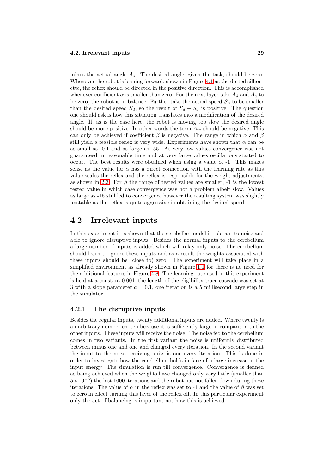minus the actual angle  $A_a$ . The desired angle, given the task, should be zero. Whenever the robot is leaning forward, shown in Figure [4.1](#page-28-2) as the dotted silhouette, the reflex should be directed in the positive direction. This is accomplished whenever coefficient  $\alpha$  is smaller than zero. For the next layer take  $A_d$  and  $A_a$  to be zero, the robot is in balance. Further take the actual speed  $S_a$  to be smaller than the desired speed  $S_d$ , so the result of  $S_d - S_a$  is positive. The question one should ask is how this situation translates into a modification of the desired angle. If, as is the case here, the robot is moving too slow the desired angle should be more positive. In other words the term  $A_m$  should be negative. This can only be achieved if coefficient  $\beta$  is negative. The range in which  $\alpha$  and  $\beta$ still yield a feasible reflex is very wide. Experiments have shown that  $\alpha$  can be as small as -0.1 and as large as -55. At very low values convergence was not guaranteed in reasonable time and at very large values oscillations started to occur. The best results were obtained when using a value of -1. This makes sense as the value for  $\alpha$  has a direct connection with the learning rate as this value scales the reflex and the reflex is responsible for the weight adjustments, as shown in [2.3.](#page-12-0) For  $\beta$  the range of tested values are smaller, -1 is the lowest tested value in which case convergence was not a problem albeit slow. Values as large as -15 still led to convergence however the resulting system was slightly unstable as the reflex is quite aggressive in obtaining the desired speed.

### <span id="page-30-0"></span>4.2 Irrelevant inputs

In this experiment it is shown that the cerebellar model is tolerant to noise and able to ignore disruptive inputs. Besides the normal inputs to the cerebellum a large number of inputs is added which will relay only noise. The cerebellum should learn to ignore these inputs and as a result the weights associated with these inputs should be (close to) zero. The experiment will take place in a simplified environment as already shown in Figure [1.1](#page-7-0) for there is no need for the additional features in Figure [4.8.](#page-34-2) The learning rate used in this experiment is held at a constant 0.001, the length of the eligibility trace cascade was set at 3 with a slope parameter  $a = 0.1$ , one iteration is a 5 millisecond large step in the simulator.

#### <span id="page-30-1"></span>4.2.1 The disruptive inputs

Besides the regular inputs, twenty additional inputs are added. Where twenty is an arbitrary number chosen because it is sufficiently large in comparison to the other inputs. These inputs will receive the noise. The noise fed to the cerebellum comes in two variants. In the first variant the noise is uniformly distributed between minus one and one and changed every iteration. In the second variant the input to the noise receiving units is one every iteration. This is done in order to investigate how the cerebellum holds in face of a large increase in the input energy. The simulation is run till convergence. Convergence is defined as being achieved when the weights have changed only very little (smaller than  $5 \times 10^{-5}$ ) the last 1000 iterations and the robot has not fallen down during these iterations. The value of  $\alpha$  in the reflex was set to -1 and the value of  $\beta$  was set to zero in effect turning this layer of the reflex off. In this particular experiment only the act of balancing is important not how this is achieved.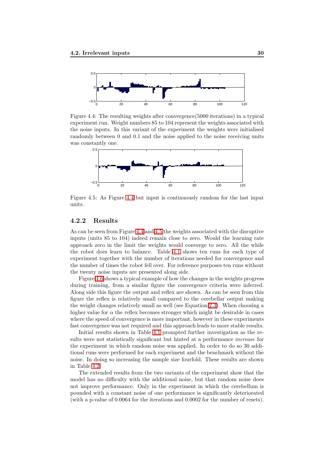

<span id="page-31-1"></span>Figure 4.4: The resulting weights after convergence(5000 iterations) in a typical experiment run. Weight numbers 85 to 104 represent the weights associated with the noise inputs. In this variant of the experiment the weights were initialised randomly between 0 and 0.1 and the noise applied to the noise receiving units was constantly one.



<span id="page-31-2"></span>Figure 4.5: As Figure [4.4](#page-31-1) but input is continuously random for the last input units.

### <span id="page-31-0"></span>4.2.2 Results

As can be seen from Figure [4.4](#page-31-1) and [4.5](#page-31-2) the weights associated with the disruptive inputs (units 85 to 104) indeed remain close to zero. Would the learning rate approach zero in the limit the weights would converge to zero. All the while the robot does learn to balance. Table [4.1](#page-32-0) shows ten runs for each type of experiment together with the number of iterations needed for convergence and the number of times the robot fell over. For reference purposes ten runs without the twenty noise inputs are presented along side.

Figure [4.6](#page-33-0) shows a typical example of how the changes in the weights progress during training, from a similar figure the convergence criteria were inferred. Along side this figure the output and reflex are shown. As can be seen from this figure the reflex is relatively small compared to the cerebellar output making the weight changes relatively small as well (see Equation [2.3\)](#page-12-0). When choosing a higher value for  $\alpha$  the reflex becomes stronger which might be desirable in cases where the speed of convergence is more important, however in these experiments fast convergence was not required and this approach leads to more stable results.

Initial results shown in Table [4.1](#page-32-0) prompted further investigation as the results were not statistically significant but hinted at a performance increase for the experiment in which random noise was applied. In order to do so 30 additional runs were performed for each experiment and the benchmark without the noise. In doing so increasing the sample size fourfold. These results are shown in Table [4.2.](#page-32-1)

The extended results from the two variants of the experiment show that the model has no difficulty with the additional noise, but that random noise does not improve performance. Only in the experiment in which the cerebellum is pounded with a constant noise of one performance is significantly deteriorated (with a p-value of 0.0064 for the iterations and 0.0002 for the number of resets).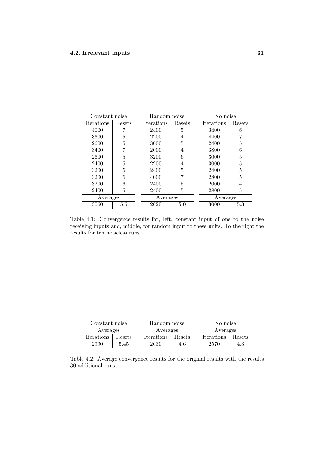| Constant noise             |        | Random noise         |      | No noise   |        |
|----------------------------|--------|----------------------|------|------------|--------|
| Iterations                 | Resets | Iterations<br>Resets |      | Iterations | Resets |
| 4000                       |        | 2400                 | 5    | 3400       | 6      |
| 3600                       | 5      | 2200                 | 4    | 4400       |        |
| 2600                       | 5      | 3000                 | 5    | 2400       | 5      |
| 3400                       | 7      | 2000                 | 4    | 3800       | 6      |
| 2600                       | 5      | 3200                 | 6    | 3000       | 5      |
| 2400                       | 5      | 2200                 | 4    | 3000       | 5      |
| 3200                       | 5      | 2400                 | 5    | 2400       | 5      |
| 3200                       | 6      | 4000                 |      | 2800       | 5      |
| 3200                       | 6      | 2400                 | 5    | 2000       | 4      |
| 2400                       | 5      | 2400                 | 5    | 2800       | 5      |
| Averages                   |        | Averages             |      | Averages   |        |
| 3060<br>5.6<br>5.0<br>2620 |        |                      | 3000 | 5.3        |        |

<span id="page-32-0"></span>Table 4.1: Convergence results for, left, constant input of one to the noise receiving inputs and, middle, for random input to these units. To the right the results for ten noiseless runs.

| Constant noise       |      | Random noise |        | No noise   |        |
|----------------------|------|--------------|--------|------------|--------|
| Averages             |      | Averages     |        | Averages   |        |
| Iterations<br>Resets |      | Iterations   | Resets | Iterations | Resets |
| 2990                 | 5.45 | 2630         | 4.6    | 2570       | 4.3    |

<span id="page-32-1"></span>Table 4.2: Average convergence results for the original results with the results 30 additional runs.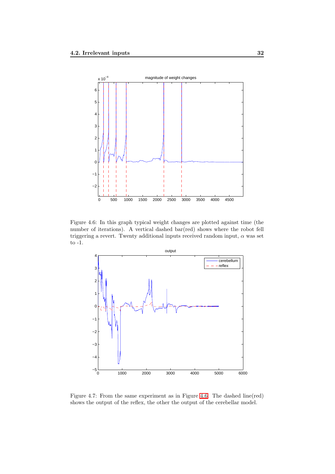

<span id="page-33-0"></span>Figure 4.6: In this graph typical weight changes are plotted against time (the number of iterations). A vertical dashed bar(red) shows where the robot fell triggering a revert. Twenty additional inputs received random input,  $\alpha$  was set to  $\textnormal{-}1.$ 



Figure 4.7: From the same experiment as in Figure [4.6.](#page-33-0) The dashed line(red) shows the output of the reflex, the other the output of the cerebellar model.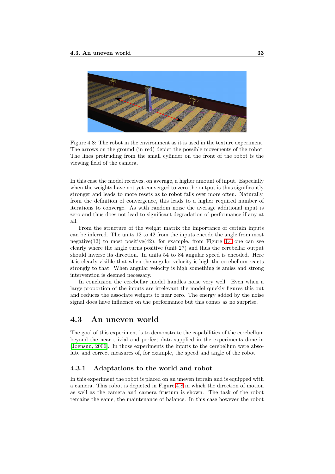

Figure 4.8: The robot in the environment as it is used in the texture experiment. The arrows on the ground (in red) depict the possible movements of the robot. The lines protruding from the small cylinder on the front of the robot is the viewing field of the camera.

<span id="page-34-2"></span>In this case the model receives, on average, a higher amount of input. Especially when the weights have not yet converged to zero the output is thus significantly stronger and leads to more resets as to robot falls over more often. Naturally, from the definition of convergence, this leads to a higher required number of iterations to converge. As with random noise the average additional input is zero and thus does not lead to significant degradation of performance if any at all.

From the structure of the weight matrix the importance of certain inputs can be inferred. The units 12 to 42 from the inputs encode the angle from most negative(12) to most positive(42), for example, from Figure [4.4](#page-31-1) one can see clearly where the angle turns positive (unit 27) and thus the cerebellar output should inverse its direction. In units 54 to 84 angular speed is encoded. Here it is clearly visible that when the angular velocity is high the cerebellum reacts strongly to that. When angular velocity is high something is amiss and strong intervention is deemed necessary.

In conclusion the cerebellar model handles noise very well. Even when a large proportion of the inputs are irrelevant the model quickly figures this out and reduces the associate weights to near zero. The energy added by the noise signal does have influence on the performance but this comes as no surprise.

## <span id="page-34-0"></span>4.3 An uneven world

The goal of this experiment is to demonstrate the capabilities of the cerebellum beyond the near trivial and perfect data supplied in the experiments done in [\[Joensuu, 2006\]](#page-54-7). In those experiments the inputs to the cerebellum were absolute and correct measures of, for example, the speed and angle of the robot.

#### <span id="page-34-1"></span>4.3.1 Adaptations to the world and robot

In this experiment the robot is placed on an uneven terrain and is equipped with a camera. This robot is depicted in Figure [4.8](#page-34-2) in which the direction of motion as well as the camera and camera frustum is shown. The task of the robot remains the same, the maintenance of balance. In this case however the robot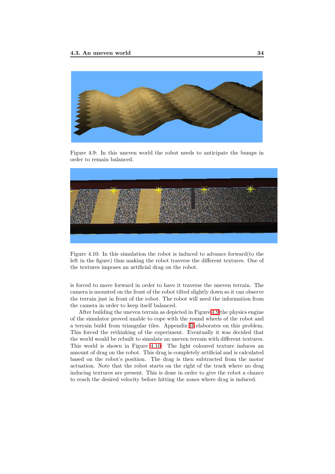

Figure 4.9: In this uneven world the robot needs to anticipate the bumps in order to remain balanced.

<span id="page-35-0"></span>

<span id="page-35-1"></span>Figure 4.10: In this simulation the robot is induced to advance forward(to the left in the figure) thus making the robot traverse the different textures. One of the textures imposes an artificial drag on the robot.

is forced to move forward in order to have it traverse the uneven terrain. The camera is mounted on the front of the robot tilted slightly down so it can observe the terrain just in front of the robot. The robot will need the information from the camera in order to keep itself balanced.

After building the uneven terrain as depicted in Figure [4.9](#page-35-0) the physics engine of the simulator proved unable to cope with the round wheels of the robot and a terrain build from triangular tiles. Appendix [B](#page-60-0) elaborates on this problem. This forced the rethinking of the experiment. Eventually it was decided that the world would be rebuilt to simulate an uneven terrain with different textures. This world is shown in Figure [4.10.](#page-35-1) The light coloured texture induces an amount of drag on the robot. This drag is completely artificial and is calculated based on the robot's position. The drag is then subtracted from the motor actuation. Note that the robot starts on the right of the track where no drag inducing textures are present. This is done in order to give the robot a chance to reach the desired velocity before hitting the zones where drag is induced.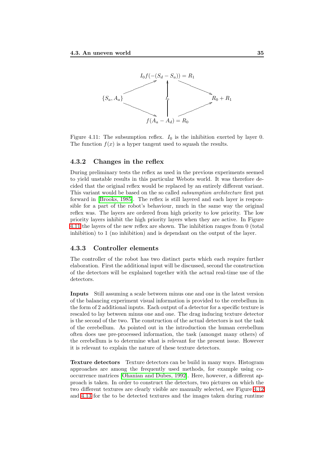

<span id="page-36-2"></span>Figure 4.11: The subsumption reflex.  $I_0$  is the inhibition exerted by layer 0. The function  $f(x)$  is a hyper tangent used to squash the results.

#### <span id="page-36-0"></span>4.3.2 Changes in the reflex

During preliminary tests the reflex as used in the previous experiments seemed to yield unstable results in this particular Webots world. It was therefore decided that the original reflex would be replaced by an entirely different variant. This variant would be based on the so called *subsumption architecture* first put forward in [\[Brooks, 1985\]](#page-54-12). The reflex is still layered and each layer is responsible for a part of the robot's behaviour, much in the same way the original reflex was. The layers are ordered from high priority to low priority. The low priority layers inhibit the high priority layers when they are active. In Figure [4.11](#page-36-2) the layers of the new reflex are shown. The inhibition ranges from 0 (total inhibition) to 1 (no inhibition) and is dependant on the output of the layer.

#### <span id="page-36-1"></span>4.3.3 Controller elements

The controller of the robot has two distinct parts which each require further elaboration. First the additional input will be discussed, second the construction of the detectors will be explained together with the actual real-time use of the detectors.

Inputs Still assuming a scale between minus one and one in the latest version of the balancing experiment visual information is provided to the cerebellum in the form of 2 additional inputs. Each output of a detector for a specific texture is rescaled to lay between minus one and one. The drag inducing texture detector is the second of the two. The construction of the actual detectors is not the task of the cerebellum. As pointed out in the introduction the human cerebellum often does use pre-processed information, the task (amongst many others) of the cerebellum is to determine what is relevant for the present issue. However it is relevant to explain the nature of these texture detectors.

Texture detectors Texture detectors can be build in many ways. Histogram approaches are among the frequently used methods, for example using cooccurrence matrices [\[Ohanian and Dubes, 1992\]](#page-55-10). Here, however, a different approach is taken. In order to construct the detectors, two pictures on which the two different textures are clearly visible are manually selected, see Figure [4.12](#page-37-0) and [4.13](#page-37-1) for the to be detected textures and the images taken during runtime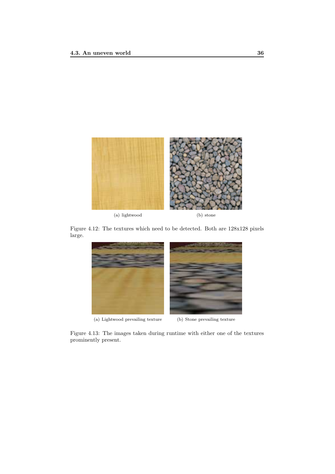

<span id="page-37-0"></span>Figure 4.12: The textures which need to be detected. Both are 128x128 pixels large.



<span id="page-37-1"></span>Figure 4.13: The images taken during runtime with either one of the textures prominently present.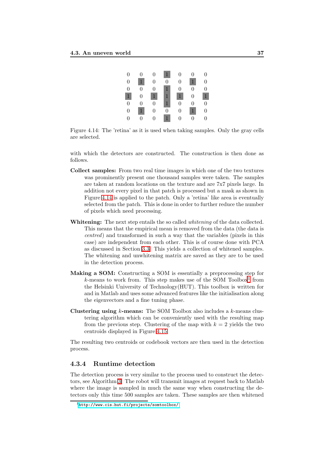| $\overline{0}$   | 0                | 0                | $\mathbf 1$      | $\overline{0}$ | 0                | 0                |
|------------------|------------------|------------------|------------------|----------------|------------------|------------------|
| $\overline{0}$   | $\mathbf{1}$     | $\overline{0}$   | $\overline{0}$   | 0              | $\mathbf{1}$     | $\theta$         |
| $\theta$         | $\Omega$         | $\theta$         | $\mathbf{1}$     | $\theta$       | $\Omega$         | $\theta$         |
| $\mathbf{1}$     | $\boldsymbol{0}$ | $1^{\circ}$      | $\mathbf{1}$     | $\overline{1}$ | $\boldsymbol{0}$ |                  |
| $\overline{0}$   | $\boldsymbol{0}$ | $\boldsymbol{0}$ | $\mathbf{1}$     | $\overline{0}$ | $\overline{0}$   | 0                |
| $\boldsymbol{0}$ | $\mathbf{1}$     | $\overline{0}$   | $\boldsymbol{0}$ | $\overline{0}$ | 1                | $\boldsymbol{0}$ |
| $\Omega$         | $\Omega$         | $\Omega$         | $\mathbf{1}$     | $\Omega$       | $\Omega$         | $\Omega$         |

<span id="page-38-1"></span>Figure 4.14: The 'retina' as it is used when taking samples. Only the gray cells are selected.

with which the detectors are constructed. The construction is then done as follows.

- Collect samples: From two real time images in which one of the two textures was prominently present one thousand samples were taken. The samples are taken at random locations on the texture and are 7x7 pixels large. In addition not every pixel in that patch is processed but a mask as shown in Figure [4.14](#page-38-1) is applied to the patch. Only a 'retina' like area is eventually selected from the patch. This is done in order to further reduce the number of pixels which need processing.
- Whitening: The next step entails the so called *whitening* of the data collected. This means that the empirical mean is removed from the data (the data is centred) and transformed in such a way that the variables (pixels in this case) are independent from each other. This is of course done with PCA as discussed in Section [3.3.](#page-20-1) This yields a collection of whitened samples. The whitening and unwhitening matrix are saved as they are to be used in the detection process.
- Making a SOM: Constructing a SOM is essentially a preprocessing step for  $k$ -means to work from. This step makes use of the SOM Toolbox<sup>[1](#page-38-2)</sup> from the Helsinki University of Technology(HUT). This toolbox is written for and in Matlab and uses some advanced features like the initialisation along the eigenvectors and a fine tuning phase.
- Clustering using  $k$ -means: The SOM Toolbox also includes a  $k$ -means clustering algorithm which can be conveniently used with the resulting map from the previous step. Clustering of the map with  $k = 2$  yields the two centroids displayed in Figure [4.15.](#page-39-0)

The resulting two centroids or codebook vectors are then used in the detection process.

#### <span id="page-38-0"></span>4.3.4 Runtime detection

The detection process is very similar to the process used to construct the detectors, see Algorithm [3.](#page-40-1) The robot will transmit images at request back to Matlab where the image is sampled in much the same way when constructing the detectors only this time 500 samples are taken. These samples are then whitened

<span id="page-38-2"></span><sup>1</sup><http://www.cis.hut.fi/projects/somtoolbox/>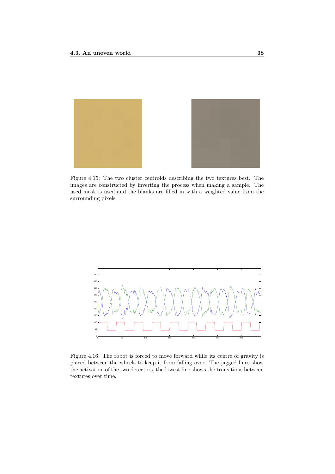<span id="page-39-0"></span>

Figure 4.15: The two cluster centroids describing the two textures best. The images are constructed by inverting the process when making a sample. The used mask is used and the blanks are filled in with a weighted value from the surrounding pixels.



<span id="page-39-1"></span>Figure 4.16: The robot is forced to move forward while its centre of gravity is placed between the wheels to keep it from falling over. The jagged lines show the activation of the two detectors, the lowest line shows the transitions between textures over time.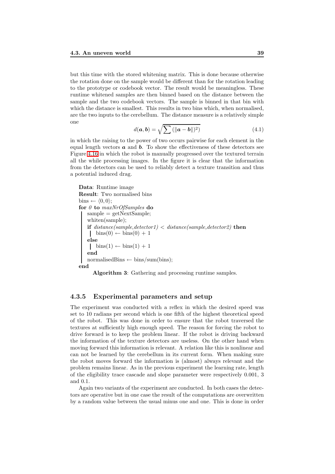but this time with the stored whitening matrix. This is done because otherwise the rotation done on the sample would be different than for the rotation leading to the prototype or codebook vector. The result would be meaningless. These runtime whitened samples are then binned based on the distance between the sample and the two codebook vectors. The sample is binned in that bin with which the distance is smallest. This results in two bins which, when normalised, are the two inputs to the cerebellum. The distance measure is a relatively simple one

$$
d(\boldsymbol{a},\boldsymbol{b}) = \sqrt{\sum \left( \|\boldsymbol{a} - \boldsymbol{b}\| \right)^2}
$$
 (4.1)

in which the raising to the power of two occurs pairwise for each element in the equal length vectors  $\boldsymbol{a}$  and  $\boldsymbol{b}$ . To show the effectiveness of these detectors see Figure [4.16](#page-39-1) in which the robot is manually progressed over the textured terrain all the while processing images. In the figure it is clear that the information from the detectors can be used to reliably detect a texture transition and thus a potential induced drag.

```
Data: Runtime image
Result: Two normalised bins
bins \leftarrow \langle 0, 0 \rangle;
for \theta to maxNrOfSamples do
   sample = getNextSample;whiten(sample);
    if distance(sample, detector1) < distance(sample, detector2) then
     \frac{\text{bins}(0)}{\text{bins}(0)} + 1
    else
     \overline{\text{bins}(1)} \leftarrow \text{bins}(1) + 1end
   normalisedBins \leftarrow bins/sum(bins);
end
```
Algorithm 3: Gathering and processing runtime samples.

#### <span id="page-40-0"></span>4.3.5 Experimental parameters and setup

The experiment was conducted with a reflex in which the desired speed was set to 10 radians per second which is one fifth of the highest theoretical speed of the robot. This was done in order to ensure that the robot traversed the textures at sufficiently high enough speed. The reason for forcing the robot to drive forward is to keep the problem linear. If the robot is driving backward the information of the texture detectors are useless. On the other hand when moving forward this information is relevant. A relation like this is nonlinear and can not be learned by the cerebellum in its current form. When making sure the robot moves forward the information is (almost) always relevant and the problem remains linear. As in the previous experiment the learning rate, length of the eligibility trace cascade and slope parameter were respectively 0.001, 3 and 0.1.

Again two variants of the experiment are conducted. In both cases the detectors are operative but in one case the result of the computations are overwritten by a random value between the usual minus one and one. This is done in order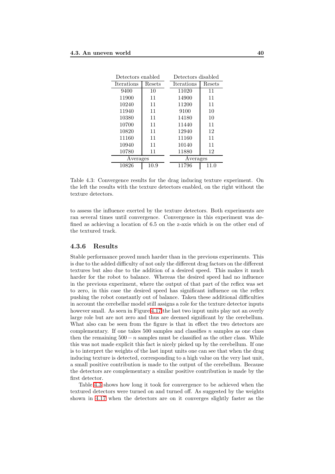| Detectors enabled |        | Detectors disabled |        |  |
|-------------------|--------|--------------------|--------|--|
| Iterations        | Resets | Iterations         | Resets |  |
| 9400              | 10     | 11020              | 11     |  |
| 11900             | 11     | 14900              | 11     |  |
| 10240             | 11     | 11200              | 11     |  |
| 11940             | 11     | 9100               | 10     |  |
| 10380             | 11     | 14180              | 10     |  |
| 10700             | 11     | 11440              | 11     |  |
| 10820             | 11     | 12940              | 12     |  |
| 11160             | 11     | 11160              | 11     |  |
| 10940             | 11     | 10140              | 11     |  |
| 10780             | 11     | 11880              | 12     |  |
| Averages          |        | Averages           |        |  |
| 10826<br>10.9     |        | 11796              | 11.0   |  |

<span id="page-41-1"></span>Table 4.3: Convergence results for the drag inducing texture experiment. On the left the results with the texture detectors enabled, on the right without the texture detectors.

to assess the influence exerted by the texture detectors. Both experiments are ran several times until convergence. Convergence in this experiment was defined as achieving a location of 6.5 on the z-axis which is on the other end of the textured track.

#### <span id="page-41-0"></span>4.3.6 Results

Stable performance proved much harder than in the previous experiments. This is due to the added difficulty of not only the different drag factors on the different textures but also due to the addition of a desired speed. This makes it much harder for the robot to balance. Whereas the desired speed had no influence in the previous experiment, where the output of that part of the reflex was set to zero, in this case the desired speed has significant influence on the reflex pushing the robot constantly out of balance. Taken these additional difficulties in account the cerebellar model still assigns a role for the texture detector inputs however small. As seen in Figure [4.17](#page-42-0) the last two input units play not an overly large role but are not zero and thus are deemed significant by the cerebellum. What also can be seen from the figure is that in effect the two detectors are complementary. If one takes 500 samples and classifies  $n$  samples as one class then the remaining  $500 - n$  samples must be classified as the other class. While this was not made explicit this fact is nicely picked up by the cerebellum. If one is to interpret the weights of the last input units one can see that when the drag inducing texture is detected, corresponding to a high value on the very last unit, a small positive contribution is made to the output of the cerebellum. Because the detectors are complementary a similar positive contribution is made by the first detector.

Table [4.3](#page-41-1) shows how long it took for convergence to be achieved when the textured detectors were turned on and turned off. As suggested by the weights shown in [4.17](#page-42-0) when the detectors are on it converges slightly faster as the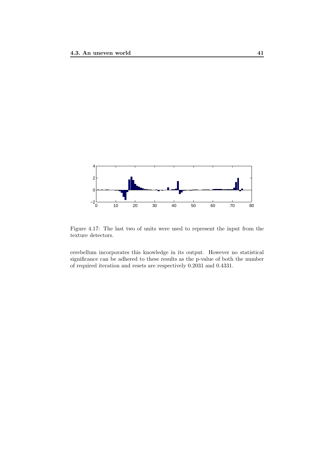

<span id="page-42-0"></span>Figure 4.17: The last two of units were used to represent the input from the texture detectors.

cerebellum incorporates this knowledge in its output. However no statistical significance can be adhered to these results as the p-value of both the number of required iteration and resets are respectively 0.2031 and 0.4331.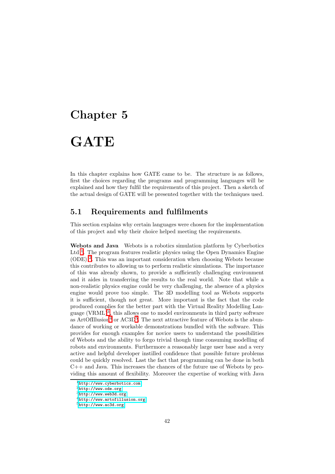## <span id="page-43-0"></span>Chapter 5

# GATE

In this chapter explains how GATE came to be. The structure is as follows, first the choices regarding the programs and programming languages will be explained and how they fulfil the requirements of this project. Then a sketch of the actual design of GATE will be presented together with the techniques used.

## <span id="page-43-1"></span>5.1 Requirements and fulfilments

This section explains why certain languages were chosen for the implementation of this project and why their choice helped meeting the requirements.

<span id="page-43-7"></span>Webots and Java Webots is a robotics simulation platform by Cyberbotics Ltd<sup>[1](#page-43-2)</sup>. The program features realistic physics using the Open Dynamics Engine (ODE) [2](#page-43-3) . This was an important consideration when choosing Webots because this contributes to allowing us to perform realistic simulations. The importance of this was already shown, to provide a sufficiently challenging environment and it aides in transferring the results to the real world. Note that while a non-realistic physics engine could be very challenging, the absence of a physics engine would prove too simple. The 3D modelling tool as Webots supports it is sufficient, though not great. More important is the fact that the code produced complies for the better part with the Virtual Reality Modelling Language (VRML)[3](#page-43-4) , this allows one to model environments in third party software as ArtOfIllusion<sup>[4](#page-43-5)</sup> or AC3D<sup>[5](#page-43-6)</sup>. The next attractive feature of Webots is the abundance of working or workable demonstrations bundled with the software. This provides for enough examples for novice users to understand the possibilities of Webots and the ability to forgo trivial though time consuming modelling of robots and environments. Furthermore a reasonably large user base and a very active and helpful developer instilled confidence that possible future problems could be quickly resolved. Last the fact that programming can be done in both C++ and Java. This increases the chances of the future use of Webots by providing this amount of flexibility. Moreover the expertise of working with Java

 $^{\rm 1}$ <http://www.cyberbotics.com>

<span id="page-43-3"></span><span id="page-43-2"></span><sup>2</sup><http://www.ode.org>

<span id="page-43-4"></span><sup>3</sup><http://www.web3d.org>

<span id="page-43-5"></span><sup>4</sup><http://www.artofillusion.org>

<span id="page-43-6"></span><sup>5</sup><http://www.ac3d.org>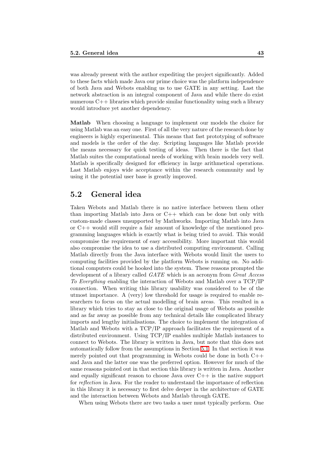was already present with the author expediting the project significantly. Added to these facts which made Java our prime choice was the platform independence of both Java and Webots enabling us to use GATE in any setting. Last the network abstraction is an integral component of Java and while there do exist numerous C++ libraries which provide similar functionality using such a library would introduce yet another dependency.

Matlab When choosing a language to implement our models the choice for using Matlab was an easy one. First of all the very nature of the research done by engineers is highly experimental. This means that fast prototyping of software and models is the order of the day. Scripting languages like Matlab provide the means necessary for quick testing of ideas. Then there is the fact that Matlab suites the computational needs of working with brain models very well. Matlab is specifically designed for efficiency in large arithmetical operations. Last Matlab enjoys wide acceptance within the research community and by using it the potential user base is greatly improved.

## <span id="page-44-0"></span>5.2 General idea

Taken Webots and Matlab there is no native interface between them other than importing Matlab into Java or C++ which can be done but only with custom-made classes unsupported by Mathworks. Importing Matlab into Java or C++ would still require a fair amount of knowledge of the mentioned programming languages which is exactly what is being tried to avoid. This would compromise the requirement of easy accessibility. More important this would also compromise the idea to use a distributed computing environment. Calling Matlab directly from the Java interface with Webots would limit the users to computing facilities provided by the platform Webots is running on. No additional computers could be hooked into the system. These reasons prompted the development of a library called GATE which is an acronym from Great Access To Everything enabling the interaction of Webots and Matlab over a TCP/IP connection. When writing this library usability was considered to be of the utmost importance. A (very) low threshold for usage is required to enable researchers to focus on the actual modelling of brain areas. This resulted in a library which tries to stay as close to the original usage of Webots as possible and as far away as possible from any technical details like complicated library imports and lengthy initialisations. The choice to implement the integration of Matlab and Webots with a TCP/IP approach facilitates the requirement of a distributed environment. Using TCP/IP enables multiple Matlab instances to connect to Webots. The library is written in Java, but note that this does not automatically follow from the assumptions in Section [5.1.](#page-43-7) In that section it was merely pointed out that programming in Webots could be done in both  $C_{++}$ and Java and the latter one was the preferred option. However for much of the same reasons pointed out in that section this library is written in Java. Another and equally significant reason to choose Java over  $C_{++}$  is the native support for reflection in Java. For the reader to understand the importance of reflection in this library it is necessary to first delve deeper in the architecture of GATE and the interaction between Webots and Matlab through GATE.

When using Webots there are two tasks a user must typically perform. One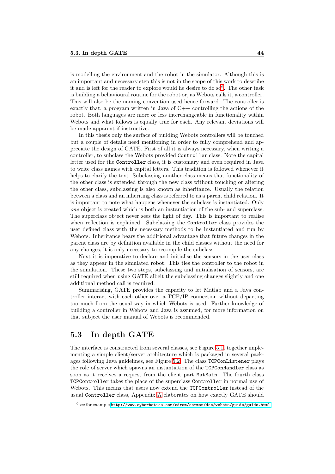is modelling the environment and the robot in the simulator. Although this is an important and necessary step this is not in the scope of this work to describe it and is left for the reader to explore would he desire to do so<sup>[6](#page-45-1)</sup>. The other task is building a behavioural routine for the robot or, as Webots calls it, a controller. This will also be the naming convention used hence forward. The controller is exactly that, a program written in Java of  $C++$  controlling the actions of the robot. Both languages are more or less interchangeable in functionality within Webots and what follows is equally true for each. Any relevant deviations will be made apparent if instructive.

In this thesis only the surface of building Webots controllers will be touched but a couple of details need mentioning in order to fully comprehend and appreciate the design of GATE. First of all it is always necessary, when writing a controller, to subclass the Webots provided Controller class. Note the capital letter used for the Controller class, it is customary and even required in Java to write class names with capital letters. This tradition is followed whenever it helps to clarify the text. Subclassing another class means that functionality of the other class is extended through the new class without touching or altering the other class, subclassing is also known as inheritance. Usually the relation between a class and an inheriting class is referred to as a parent child relation. It is important to note what happens whenever the subclass is instantiated. Only one object is created which is both an instantiation of the sub- and superclass. The superclass object never sees the light of day. This is important to realise when reflection is explained. Subclassing the Controller class provides the user defined class with the necessary methods to be instantiated and run by Webots. Inheritance bears the additional advantage that future changes in the parent class are by definition available in the child classes without the need for any changes, it is only necessary to recompile the subclass.

Next it is imperative to declare and initialise the sensors in the user class as they appear in the simulated robot. This ties the controller to the robot in the simulation. These two steps, subclassing and initialisation of sensors, are still required when using GATE albeit the subclassing changes slightly and one additional method call is required.

Summarising, GATE provides the capacity to let Matlab and a Java controller interact with each other over a TCP/IP connection without departing too much from the usual way in which Webots is used. Further knowledge of building a controller in Webots and Java is assumed, for more information on that subject the user manual of Webots is recommended.

## <span id="page-45-0"></span>5.3 In depth GATE

The interface is constructed from several classes, see Figure [5.1,](#page-46-0) together implementing a simple client/server architecture which is packaged in several packages following Java guidelines, see Figure [5.2.](#page-46-1) The class TCPConListener plays the role of server which spawns an instantiation of the TCPConHandler class as soon as it receives a request from the client part MatMain. The fourth class TCPController takes the place of the superclass Controller in normal use of Webots. This means that users now extend the TCPController instead of the usual Controller class, Appendix [A](#page-56-0) elaborates on how exactly GATE should

<span id="page-45-1"></span> $^6$ see for example  ${\tt http://www.cyberbotics.com/cdrom/com/doc/webots/guide/guide.html}$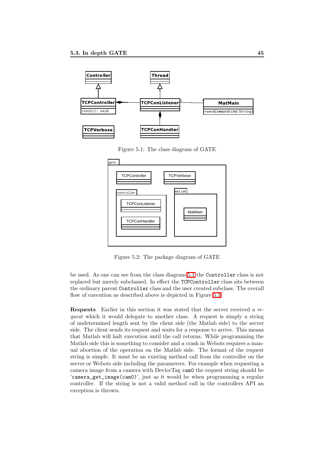

<span id="page-46-0"></span>Figure 5.1: The class diagram of GATE



<span id="page-46-1"></span>Figure 5.2: The package diagram of GATE

be used. As one can see from the class diagram [5.1](#page-46-0) the Controller class is not replaced but merely subclassed. In effect the TCPController class sits between the ordinary parent Controller class and the user created subclass. The overall flow of execution as described above is depicted in Figure [5.3.](#page-47-0)

Requests Earlier in this section it was stated that the server received a request which it would delegate to another class. A request is simply a string of undetermined length sent by the client side (the Matlab side) to the server side. The client sends its request and waits for a response to arrive. This means that Matlab will halt execution until the call returns. While programming the Matlab side this is something to consider and a crash in Webots requires a manual abortion of the operation on the Matlab side. The format of the request string is simple. It must be an existing method call from the controller on the server or Webots side including the parameters. For example when requesting a camera image from a camera with DeviceTag cam0 the request string should be 'camera\_get\_image(cam0)', just as it would be when programming a regular controller. If the string is not a valid method call in the controllers API an exception is thrown.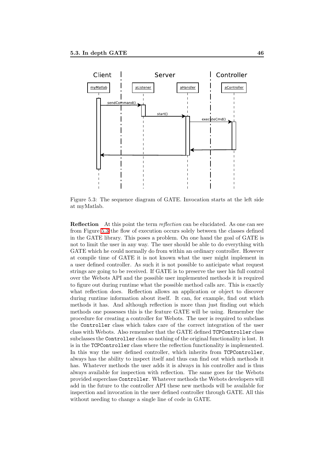

<span id="page-47-0"></span>Figure 5.3: The sequence diagram of GATE. Invocation starts at the left side at myMatlab.

**Reflection** At this point the term *reflection* can be elucidated. As one can see from Figure [5.3](#page-47-0) the flow of execution occurs solely between the classes defined in the GATE library. This poses a problem. On one hand the goal of GATE is not to limit the user in any way. The user should be able to do everything with GATE which he could normally do from within an ordinary controller. However at compile time of GATE it is not known what the user might implement in a user defined controller. As such it is not possible to anticipate what request strings are going to be received. If GATE is to preserve the user his full control over the Webots API and the possible user implemented methods it is required to figure out during runtime what the possible method calls are. This is exactly what reflection does. Reflection allows an application or object to discover during runtime information about itself. It can, for example, find out which methods it has. And although reflection is more than just finding out which methods one possesses this is the feature GATE will be using. Remember the procedure for creating a controller for Webots. The user is required to subclass the Controller class which takes care of the correct integration of the user class with Webots. Also remember that the GATE defined TCPController class subclasses the Controller class so nothing of the original functionality is lost. It is in the TCPController class where the reflection functionality is implemented. In this way the user defined controller, which inherits from TCPController, always has the ability to inspect itself and thus can find out which methods it has. Whatever methods the user adds it is always in his controller and is thus always available for inspection with reflection. The same goes for the Webots provided superclass Controller. Whatever methods the Webots developers will add in the future to the controller API these new methods will be available for inspection and invocation in the user defined controller through GATE. All this without needing to change a single line of code in GATE.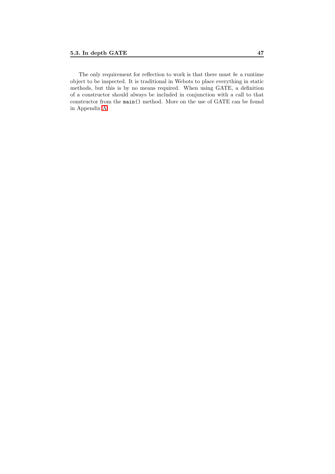The only requirement for reflection to work is that there must be a runtime object to be inspected. It is traditional in Webots to place everything in static methods, but this is by no means required. When using GATE, a definition of a constructor should always be included in conjunction with a call to that constructor from the main() method. More on the use of GATE can be found in Appendix [A.](#page-56-0)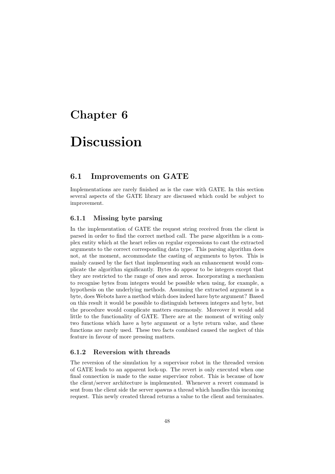## <span id="page-49-0"></span>Chapter 6

# Discussion

## <span id="page-49-1"></span>6.1 Improvements on GATE

Implementations are rarely finished as is the case with GATE. In this section several aspects of the GATE library are discussed which could be subject to improvement.

### <span id="page-49-2"></span>6.1.1 Missing byte parsing

In the implementation of GATE the request string received from the client is parsed in order to find the correct method call. The parse algorithm is a complex entity which at the heart relies on regular expressions to cast the extracted arguments to the correct corresponding data type. This parsing algorithm does not, at the moment, accommodate the casting of arguments to bytes. This is mainly caused by the fact that implementing such an enhancement would complicate the algorithm significantly. Bytes do appear to be integers except that they are restricted to the range of ones and zeros. Incorporating a mechanism to recognise bytes from integers would be possible when using, for example, a hypothesis on the underlying methods. Assuming the extracted argument is a byte, does Webots have a method which does indeed have byte argument? Based on this result it would be possible to distinguish between integers and byte, but the procedure would complicate matters enormously. Moreover it would add little to the functionality of GATE. There are at the moment of writing only two functions which have a byte argument or a byte return value, and these functions are rarely used. These two facts combined caused the neglect of this feature in favour of more pressing matters.

#### <span id="page-49-3"></span>6.1.2 Reversion with threads

The reversion of the simulation by a supervisor robot in the threaded version of GATE leads to an apparent lock-up. The revert is only executed when one final connection is made to the same supervisor robot. This is because of how the client/server architecture is implemented. Whenever a revert command is sent from the client side the server spawns a thread which handles this incoming request. This newly created thread returns a value to the client and terminates.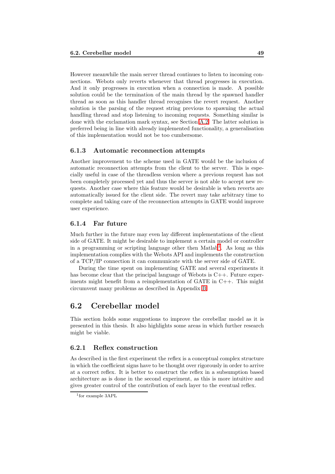However meanwhile the main server thread continues to listen to incoming connections. Webots only reverts whenever that thread progresses in execution. And it only progresses in execution when a connection is made. A possible solution could be the termination of the main thread by the spawned handler thread as soon as this handler thread recognises the revert request. Another solution is the parsing of the request string previous to spawning the actual handling thread and stop listening to incoming requests. Something similar is done with the exclamation mark syntax, see Section [A.2.](#page-57-0) The latter solution is preferred being in line with already implemented functionality, a generalisation of this implementation would not be too cumbersome.

#### <span id="page-50-0"></span>6.1.3 Automatic reconnection attempts

Another improvement to the scheme used in GATE would be the inclusion of automatic reconnection attempts from the client to the server. This is especially useful in case of the threadless version where a previous request has not been completely processed yet and thus the server is not able to accept new requests. Another case where this feature would be desirable is when reverts are automatically issued for the client side. The revert may take arbitrary time to complete and taking care of the reconnection attempts in GATE would improve user experience.

#### <span id="page-50-1"></span>6.1.4 Far future

Much further in the future may even lay different implementations of the client side of GATE. It might be desirable to implement a certain model or controller in a programming or scripting language other then Matlab<sup>[1](#page-50-4)</sup>. As long as this implementation complies with the Webots API and implements the construction of a TCP/IP connection it can communicate with the server side of GATE.

During the time spent on implementing GATE and several experiments it has become clear that the principal language of Webots is  $C_{++}$ . Future experiments might benefit from a reimplementation of GATE in C++. This might circumvent many problems as described in Appendix [B.](#page-60-0)

## <span id="page-50-2"></span>6.2 Cerebellar model

This section holds some suggestions to improve the cerebellar model as it is presented in this thesis. It also highlights some areas in which further research might be viable.

#### <span id="page-50-3"></span>6.2.1 Reflex construction

As described in the first experiment the reflex is a conceptual complex structure in which the coefficient signs have to be thought over rigorously in order to arrive at a correct reflex. It is better to construct the reflex in a subsumption based architecture as is done in the second experiment, as this is more intuitive and gives greater control of the contribution of each layer to the eventual reflex.

<span id="page-50-4"></span><sup>1</sup> for example 3APL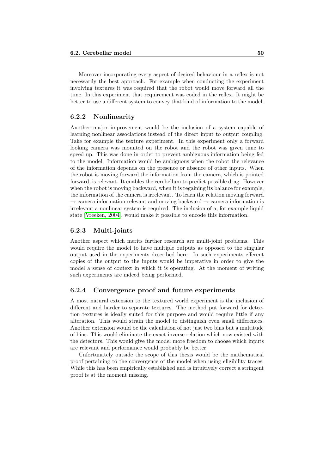Moreover incorporating every aspect of desired behaviour in a reflex is not necessarily the best approach. For example when conducting the experiment involving textures it was required that the robot would move forward all the time. In this experiment that requirement was coded in the reflex. It might be better to use a different system to convey that kind of information to the model.

#### <span id="page-51-0"></span>6.2.2 Nonlinearity

Another major improvement would be the inclusion of a system capable of learning nonlinear associations instead of the direct input to output coupling. Take for example the texture experiment. In this experiment only a forward looking camera was mounted on the robot and the robot was given time to speed up. This was done in order to prevent ambiguous information being fed to the model. Information would be ambiguous when the robot the relevance of the information depends on the presence or absence of other inputs. When the robot is moving forward the information from the camera, which is pointed forward, is relevant. It enables the cerebellum to predict possible drag. However when the robot is moving backward, when it is regaining its balance for example, the information of the camera is irrelevant. To learn the relation moving forward  $\rightarrow$  camera information relevant and moving backward  $\rightarrow$  camera information is irrelevant a nonlinear system is required. The inclusion of a, for example liquid state [\[Vreeken, 2004\]](#page-55-11), would make it possible to encode this information.

#### <span id="page-51-1"></span>6.2.3 Multi-joints

Another aspect which merits further research are multi-joint problems. This would require the model to have multiple outputs as opposed to the singular output used in the experiments described here. In such experiments efferent copies of the output to the inputs would be imperative in order to give the model a sense of context in which it is operating. At the moment of writing such experiments are indeed being performed.

#### <span id="page-51-2"></span>6.2.4 Convergence proof and future experiments

A most natural extension to the textured world experiment is the inclusion of different and harder to separate textures. The method put forward for detection textures is ideally suited for this purpose and would require little if any alteration. This would strain the model to distinguish even small differences. Another extension would be the calculation of not just two bins but a multitude of bins. This would eliminate the exact inverse relation which now existed with the detectors. This would give the model more freedom to choose which inputs are relevant and performance would probably be better.

Unfortunately outside the scope of this thesis would be the mathematical proof pertaining to the convergence of the model when using eligibility traces. While this has been empirically established and is intuitively correct a stringent proof is at the moment missing.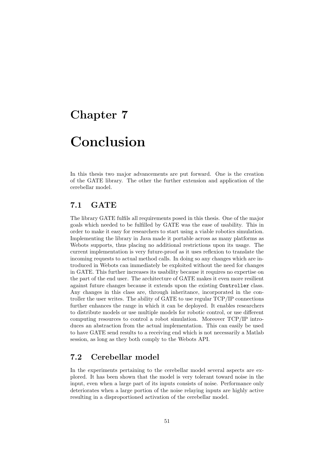## <span id="page-52-0"></span>Chapter 7

# Conclusion

In this thesis two major advancements are put forward. One is the creation of the GATE library. The other the further extension and application of the cerebellar model.

## <span id="page-52-1"></span>7.1 GATE

The library GATE fulfils all requirements posed in this thesis. One of the major goals which needed to be fulfilled by GATE was the ease of usability. This in order to make it easy for researchers to start using a viable robotics simulation. Implementing the library in Java made it portable across as many platforms as Webots supports, thus placing no additional restrictions upon its usage. The current implementation is very future-proof as it uses reflexion to translate the incoming requests to actual method calls. In doing so any changes which are introduced in Webots can immediately be exploited without the need for changes in GATE. This further increases its usability because it requires no expertise on the part of the end user. The architecture of GATE makes it even more resilient against future changes because it extends upon the existing Controller class. Any changes in this class are, through inheritance, incorporated in the controller the user writes. The ability of GATE to use regular TCP/IP connections further enhances the range in which it can be deployed. It enables researchers to distribute models or use multiple models for robotic control, or use different computing resources to control a robot simulation. Moreover TCP/IP introduces an abstraction from the actual implementation. This can easily be used to have GATE send results to a receiving end which is not necessarily a Matlab session, as long as they both comply to the Webots API.

## <span id="page-52-2"></span>7.2 Cerebellar model

In the experiments pertaining to the cerebellar model several aspects are explored. It has been shown that the model is very tolerant toward noise in the input, even when a large part of its inputs consists of noise. Performance only deteriorates when a large portion of the noise relaying inputs are highly active resulting in a disproportioned activation of the cerebellar model.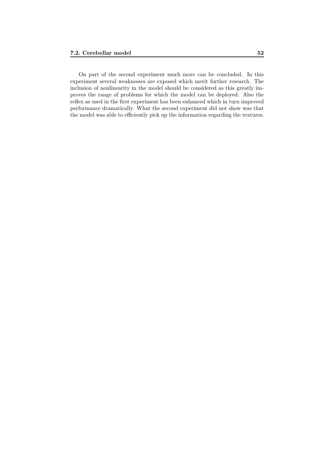On part of the second experiment much more can be concluded. In this experiment several weaknesses are exposed which merit further research. The inclusion of nonlinearity in the model should be considered as this greatly improves the range of problems for which the model can be deployed. Also the reflex as used in the first experiment has been enhanced which in turn improved performance dramatically. What the second experiment did not show was that the model was able to efficiently pick up the information regarding the textures.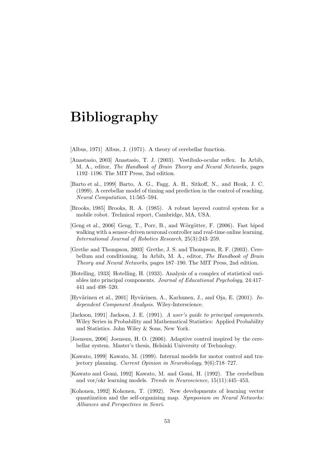# Bibliography

<span id="page-54-4"></span><span id="page-54-1"></span>[Albus, 1971] Albus, J. (1971). A theory of cerebellar function.

- [Anastasio, 2003] Anastasio, T. J. (2003). Vestibulo-ocular reflex. In Arbib, M. A., editor, The Handbook of Brain Theory and Neural Networks, pages 1192–1196. The MIT Press, 2nd edition.
- <span id="page-54-6"></span>[Barto et al., 1999] Barto, A. G., Fagg, A. H., Sitkoff, N., and Houk, J. C. (1999). A cerebellar model of timing and prediction in the control of reaching. Neural Computation, 11:565–594.
- <span id="page-54-12"></span>[Brooks, 1985] Brooks, R. A. (1985). A robust layered control system for a mobile robot. Technical report, Cambridge, MA, USA.
- <span id="page-54-0"></span>[Geng et al., 2006] Geng, T., Porr, B., and Wörgötter, F. (2006). Fast biped walking with a sensor-driven neuronal controller and real-time online learning. International Journal of Robotics Research, 25(3):243–259.
- <span id="page-54-3"></span>[Grethe and Thompson, 2003] Grethe, J. S. and Thompson, R. F. (2003). Cerebellum and conditioning. In Arbib, M. A., editor, The Handbook of Brain Theory and Neural Networks, pages 187–190. The MIT Press, 2nd edition.
- <span id="page-54-11"></span>[Hotelling, 1933] Hotelling, H. (1933). Analysis of a complex of statistical variables into principal components. Journal of Educational Psychology, 24:417– 441 and 498–520.
- <span id="page-54-9"></span>[Hyvärinen et al., 2001] Hyvärinen, A., Karhunen, J., and Oja, E. (2001). Independent Component Analysis. Wiley-Interscience.
- <span id="page-54-10"></span>[Jackson, 1991] Jackson, J. E. (1991). A user's quide to principal components. Wiley Series in Probability and Mathematical Statistics: Applied Probability and Statistics. John Wiley & Sons, New York.
- <span id="page-54-7"></span>[Joensuu, 2006] Joensuu, H. O. (2006). Adaptive control inspired by the cerebellar system. Master's thesis, Helsinki University of Technology.
- <span id="page-54-2"></span>[Kawato, 1999] Kawato, M. (1999). Internal models for motor control and trajectory planning. Current Opinion in Neurobiology, 9(6):718–727.
- <span id="page-54-5"></span>[Kawato and Gomi, 1992] Kawato, M. and Gomi, H. (1992). The cerebellum and vor/okr learning models. Trends in Neuroscience, 15(11):445–453.
- <span id="page-54-8"></span>[Kohonen, 1992] Kohonen, T. (1992). New developments of learning vector quantization and the self-organizing map. Symposium on Neural Networks: Alliances and Perspectives in Senri.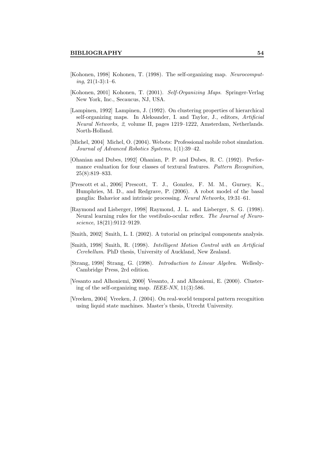- <span id="page-55-4"></span>[Kohonen, 1998] Kohonen, T. (1998). The self-organizing map. Neurocomput $ing, 21(1-3):1-6.$
- <span id="page-55-5"></span>[Kohonen, 2001] Kohonen, T. (2001). Self-Organizing Maps. Springer-Verlag New York, Inc., Secaucus, NJ, USA.
- <span id="page-55-7"></span>[Lampinen, 1992] Lampinen, J. (1992). On clustering properties of hierarchical self-organizing maps. In Aleksander, I. and Taylor, J., editors, Artificial Neural Networks, 2, volume II, pages 1219–1222, Amsterdam, Netherlands. North-Holland.
- <span id="page-55-1"></span>[Michel, 2004] Michel, O. (2004). Webots: Professional mobile robot simulation. Journal of Advanced Robotics Systems, 1(1):39–42.
- <span id="page-55-10"></span>[Ohanian and Dubes, 1992] Ohanian, P. P. and Dubes, R. C. (1992). Performance evaluation for four classes of textural features. Pattern Recognition, 25(8):819–833.
- <span id="page-55-0"></span>[Prescott et al., 2006] Prescott, T. J., Gonzlez, F. M. M., Gurney, K., Humphries, M. D., and Redgrave, P. (2006). A robot model of the basal ganglia: Bahavior and intrinsic processing. Neural Networks, 19:31–61.
- <span id="page-55-3"></span>[Raymond and Lisberger, 1998] Raymond, J. L. and Lisberger, S. G. (1998). Neural learning rules for the vestibulo-ocular reflex. The Journal of Neuroscience, 18(21):9112–9129.
- <span id="page-55-8"></span><span id="page-55-2"></span>[Smith, 2002] Smith, L. I. (2002). A tutorial on principal components analysis.
- [Smith, 1998] Smith, R. (1998). Intelligent Motion Control with an Artificial Cerebellum. PhD thesis, University of Auckland, New Zealand.
- <span id="page-55-9"></span>[Strang, 1998] Strang, G. (1998). Introduction to Linear Algebra. Wellesly-Cambridge Press, 2rd edition.
- <span id="page-55-6"></span>[Vesanto and Alhoniemi, 2000] Vesanto, J. and Alhoniemi, E. (2000). Clustering of the self-organizing map. IEEE-NN, 11(3):586.
- <span id="page-55-11"></span>[Vreeken, 2004] Vreeken, J. (2004). On real-world temporal pattern recognition using liquid state machines. Master's thesis, Utrecht University.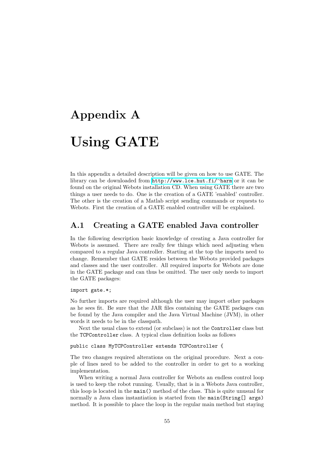# <span id="page-56-0"></span>Appendix A Using GATE

In this appendix a detailed description will be given on how to use GATE. The library can be downloaded from [http://www.lce.hut.fi/](http://www.lce.hut.fi/~harm)∼harm or it can be found on the original Webots installation CD. When using GATE there are two things a user needs to do. One is the creation of a GATE 'enabled' controller. The other is the creation of a Matlab script sending commands or requests to Webots. First the creation of a GATE enabled controller will be explained.

### <span id="page-56-1"></span>A.1 Creating a GATE enabled Java controller

In the following description basic knowledge of creating a Java controller for Webots is assumed. There are really few things which need adjusting when compared to a regular Java controller. Starting at the top the imports need to change. Remember that GATE resides between the Webots provided packages and classes and the user controller. All required imports for Webots are done in the GATE package and can thus be omitted. The user only needs to import the GATE packages:

#### import gate.\*;

No further imports are required although the user may import other packages as he sees fit. Be sure that the JAR files containing the GATE packages can be found by the Java compiler and the Java Virtual Machine (JVM), in other words it needs to be in the classpath.

Next the usual class to extend (or subclass) is not the Controller class but the TCPController class. A typical class definition looks as follows

public class MyTCPController extends TCPController {

The two changes required alterations on the original procedure. Next a couple of lines need to be added to the controller in order to get to a working implementation.

When writing a normal Java controller for Webots an endless control loop is used to keep the robot running. Usually, that is in a Webots Java controller, this loop is located in the main() method of the class. This is quite unusual for normally a Java class instantiation is started from the main(String[] args) method. It is possible to place the loop in the regular main method but staying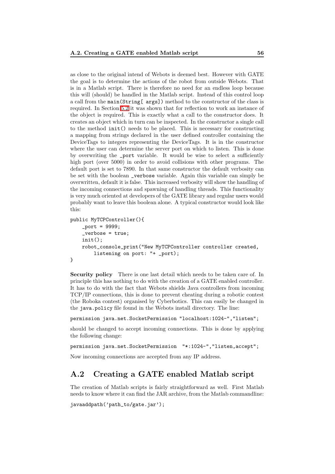as close to the original intend of Webots is deemed best. However with GATE the goal is to determine the actions of the robot from outside Webots. That is in a Matlab script. There is therefore no need for an endless loop because this will (should) be handled in the Matlab script. Instead of this control loop a call from the main(String[ args]) method to the constructor of the class is required. In Section [5.2](#page-44-0) it was shown that for reflection to work an instance of the object is required. This is exactly what a call to the constructor does. It creates an object which in turn can be inspected. In the constructor a single call to the method init() needs to be placed. This is necessary for constructing a mapping from strings declared in the user defined controller containing the DeviceTags to integers representing the DeviceTags. It is in the constructor where the user can determine the server port on which to listen. This is done by overwriting the \_port variable. It would be wise to select a sufficiently high port (over 5000) in order to avoid collisions with other programs. The default port is set to 7890. In that same constructor the default verbosity can be set with the boolean \_verbose variable. Again this variable can simply be overwritten, default it is false. This increased verbosity will show the handling of the incoming connections and spawning of handling threads. This functionality is very much oriented at developers of the GATE library and regular users would probably want to leave this boolean alone. A typical constructor would look like this:

```
public MyTCPController(){
    _{\text{port}} = 9999;
     _verbose = true;
    init();
    robot_console_print("New MyTCPController controller created,
        listening on port: "+ _port);
}
```
Security policy There is one last detail which needs to be taken care of. In principle this has nothing to do with the creation of a GATE enabled controller. It has to do with the fact that Webots shields Java controllers from incoming TCP/IP connections, this is done to prevent cheating during a robotic contest (the Roboka contest) organised by Cyberbotics. This can easily be changed in the java.policy file found in the Webots install directory. The line:

permission java.net.SocketPermission "localhost:1024-","listen";

should be changed to accept incoming connections. This is done by applying the following change:

permission java.net.SocketPermission "\*:1024-","listen,accept";

Now incoming connections are accepted from any IP address.

## <span id="page-57-0"></span>A.2 Creating a GATE enabled Matlab script

The creation of Matlab scripts is fairly straightforward as well. First Matlab needs to know where it can find the JAR archive, from the Matlab commandline:

javaaddpath('path to/gate.jar');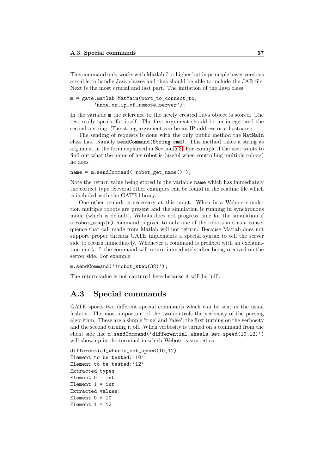This command only works with Matlab 7 or higher but in principle lower versions are able to handle Java classes and thus should be able to include the JAR file. Next is the most crucial and last part. The initiation of the Java class

#### m = gate.matlab.MatMain(port\_to\_connect\_to, 'name\_or\_ip\_of\_remote\_server');

In the variable m the reference to the newly created Java object is stored. The rest really speaks for itself. The first argument should be an integer and the second a string. The string argument can be an IP address or a hostname.

The sending of requests is done with the only public method the MatMain class has. Namely sendCommand(String cmd). This method takes a string as argument in the form explained in Section [5.3.](#page-45-0) For example if the user wants to find out what the name of his robot is (useful when controlling multiple robots) he does

```
name = m.sendCommand('robot_get_name()');
```
Note the return value being stored in the variable name which has immediately the correct type. Several other examples can be found in the readme file which is included with the GATE library.

One other remark is necessary at this point. When in a Webots simulation multiple robots are present and the simulation is running in synchronous mode (which is default), Webots does not progress time for the simulation if a robot\_step(n) command is given to only one of the robots and as a consequence that call made from Matlab will not return. Because Matlab does not support proper threads GATE implements a special syntax to tell the server side to return immediately. Whenever a command is prefixed with an exclamation mark '!' the command will return immediately after being received on the server side. For example

m.sendCommand('!robot\_step(32)');

<span id="page-58-0"></span>The return value is not captured here because it will be 'nil'.

## A.3 Special commands

GATE sports two different special commands which can be sent in the usual fashion. The most important of the two controls the verbosity of the parsing algorithm. These are a simple 'true' and 'false', the first turning on the verbosity and the second turning it off. When verbosity is turned on a command from the client side like m.sendCommand('differential\_wheels\_set\_speed(10,12)') will show up in the terminal in which Webots is started as:

```
differential_wheels_set_speed(10,12)
Element to be tested:'10'
Element to be tested:'12'
Extracted types:
Element 0 = \text{int}Element 1 = \text{int}Extracted values:
Element 0 = 10Element 1 = 12
```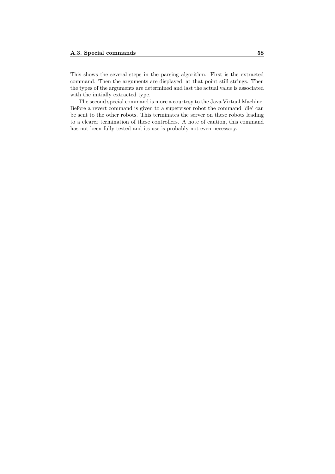This shows the several steps in the parsing algorithm. First is the extracted command. Then the arguments are displayed, at that point still strings. Then the types of the arguments are determined and last the actual value is associated with the initially extracted type.

The second special command is more a courtesy to the Java Virtual Machine. Before a revert command is given to a supervisor robot the command 'die' can be sent to the other robots. This terminates the server on these robots leading to a clearer termination of these controllers. A note of caution, this command has not been fully tested and its use is probably not even necessary.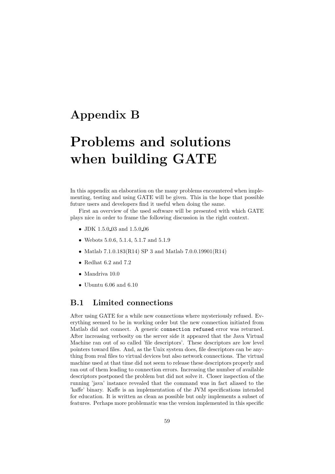## <span id="page-60-0"></span>Appendix B

# Problems and solutions when building GATE

In this appendix an elaboration on the many problems encountered when implementing, testing and using GATE will be given. This in the hope that possible future users and developers find it useful when doing the same.

First an overview of the used software will be presented with which GATE plays nice in order to frame the following discussion in the right context.

- JDK 1.5.0 03 and 1.5.0 06
- Webots 5.0.6, 5.1.4, 5.1.7 and 5.1.9
- Matlab 7.1.0.183(R14) SP 3 and Matlab 7.0.0.19901(R14)
- Redhat  $6.2$  and  $7.2$
- Mandriva 10.0
- Ubuntu 6.06 and 6.10

## <span id="page-60-1"></span>B.1 Limited connections

After using GATE for a while new connections where mysteriously refused. Everything seemed to be in working order but the new connection initiated from Matlab did not connect. A generic connection refused error was returned. After increasing verbosity on the server side it appeared that the Java Virtual Machine ran out of so called 'file descriptors'. These descriptors are low level pointers toward files. And, as the Unix system does, file descriptors can be anything from real files to virtual devices but also network connections. The virtual machine used at that time did not seem to release these descriptors properly and ran out of them leading to connection errors. Increasing the number of available descriptors postponed the problem but did not solve it. Closer inspection of the running 'java' instance revealed that the command was in fact aliased to the 'kaffe' binary. Kaffe is an implementation of the JVM specifications intended for education. It is written as clean as possible but only implements a subset of features. Perhaps more problematic was the version implemented in this specific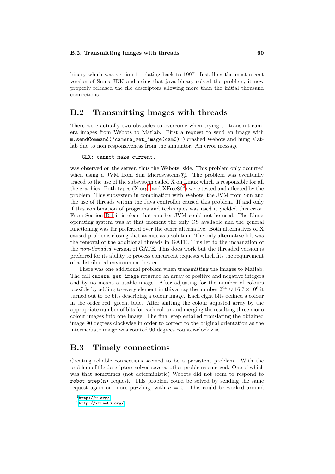binary which was version 1.1 dating back to 1997. Installing the most recent version of Sun's JDK and using that java binary solved the problem, it now properly released the file descriptors allowing more than the initial thousand connections.

## <span id="page-61-0"></span>B.2 Transmitting images with threads

There were actually two obstacles to overcome when trying to transmit camera images from Webots to Matlab. First a request to send an image with m.sendCommand('camera\_get\_image(cam0)') crashed Webots and hung Matlab due to non responsiveness from the simulator. An error message

#### GLX: cannot make current.

was observed on the server, thus the Webots, side. This problem only occurred when using a JVM from Sun Microsystems®. The problem was eventually traced to the use of the subsystem called X on Linux which is responsible for all the graphics. Both types  $(X.org<sup>1</sup>$  $(X.org<sup>1</sup>$  $(X.org<sup>1</sup>$  and  $XFree86<sup>2</sup>)$  $XFree86<sup>2</sup>)$  $XFree86<sup>2</sup>)$  were tested and affected by the problem. This subsystem in combination with Webots, the JVM from Sun and the use of threads within the Java controller caused this problem. If and only if this combination of programs and techniques was used it yielded this error. From Section [B.1](#page-60-1) it is clear that another JVM could not be used. The Linux operating system was at that moment the only OS available and the general functioning was far preferred over the other alternative. Both alternatives of X caused problems closing that avenue as a solution. The only alternative left was the removal of the additional threads in GATE. This let to the incarnation of the non-threaded version of GATE. This does work but the threaded version is preferred for its ability to process concurrent requests which fits the requirement of a distributed environment better.

There was one additional problem when transmitting the images to Matlab. The call camera\_get\_image returned an array of positive and negative integers and by no means a usable image. After adjusting for the number of colours possible by adding to every element in this array the number  $2^{24} \approx 16.7 \times 10^6$  it turned out to be bits describing a colour image. Each eight bits defined a colour in the order red, green, blue. After shifting the colour adjusted array by the appropriate number of bits for each colour and merging the resulting three mono colour images into one image. The final step entailed translating the obtained image 90 degrees clockwise in order to correct to the original orientation as the intermediate image was rotated 90 degrees counter-clockwise.

### <span id="page-61-1"></span>B.3 Timely connections

Creating reliable connections seemed to be a persistent problem. With the problem of file descriptors solved several other problems emerged. One of which was that sometimes (not deterministic) Webots did not seem to respond to  $\text{robot\_step}(n)$  request. This problem could be solved by sending the same request again or, more puzzling, with  $n = 0$ . This could be worked around

<span id="page-61-2"></span> $1$ <http://x.org/>

<span id="page-61-3"></span><sup>2</sup><http://xfree86.org/>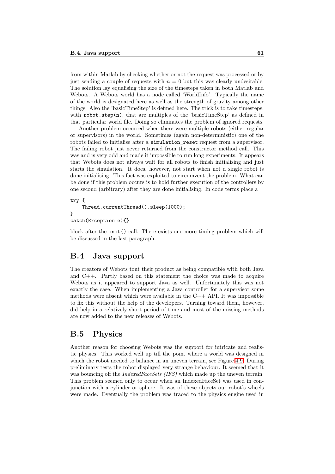from within Matlab by checking whether or not the request was processed or by just sending a couple of requests with  $n = 0$  but this was clearly undesirable. The solution lay equalising the size of the timesteps taken in both Matlab and Webots. A Webots world has a node called 'WorldInfo'. Typically the name of the world is designated here as well as the strength of gravity among other things. Also the 'basicTimeStep' is defined here. The trick is to take timesteps, with  $\text{robot\_step}(n)$ , that are multiples of the 'basicTimeStep' as defined in that particular world file. Doing so eliminates the problem of ignored requests.

Another problem occurred when there were multiple robots (either regular or supervisors) in the world. Sometimes (again non-deterministic) one of the robots failed to initialise after a simulation\_reset request from a supervisor. The failing robot just never returned from the constructor method call. This was and is very odd and made it impossible to run long experiments. It appears that Webots does not always wait for all robots to finish initialising and just starts the simulation. It does, however, not start when not a single robot is done initialising. This fact was exploited to circumvent the problem. What can be done if this problem occurs is to hold further execution of the controllers by one second (arbitrary) after they are done initialising. In code terms place a

```
try {
    Thread.currentThread().sleep(1000);
}
catch(Exception e){}
```
block after the init() call. There exists one more timing problem which will be discussed in the last paragraph.

### <span id="page-62-0"></span>B.4 Java support

The creators of Webots tout their product as being compatible with both Java and C++. Partly based on this statement the choice was made to acquire Webots as it appeared to support Java as well. Unfortunately this was not exactly the case. When implementing a Java controller for a supervisor some methods were absent which were available in the  $C++$  API. It was impossible to fix this without the help of the developers. Turning toward them, however, did help in a relatively short period of time and most of the missing methods are now added to the new releases of Webots.

## <span id="page-62-1"></span>B.5 Physics

Another reason for choosing Webots was the support for intricate and realistic physics. This worked well up till the point where a world was designed in which the robot needed to balance in an uneven terrain, see Figure [4.9.](#page-35-0) During preliminary tests the robot displayed very strange behaviour. It seemed that it was bouncing off the *IndexedFaceSets (IFS)* which made up the uneven terrain. This problem seemed only to occur when an IndexedFaceSet was used in conjunction with a cylinder or sphere. It was of these objects our robot's wheels were made. Eventually the problem was traced to the physics engine used in